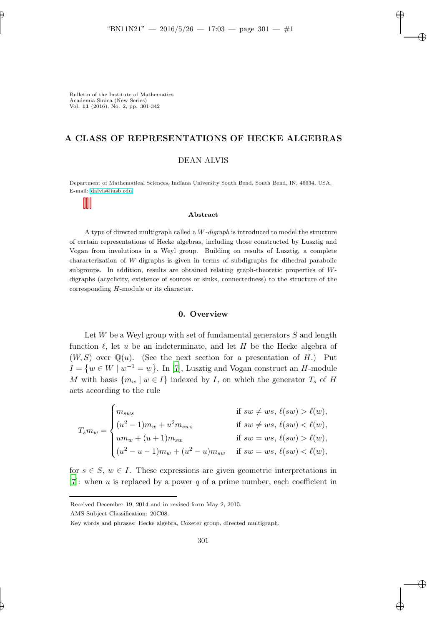# A CLASS OF REPRESENTATIONS OF HECKE ALGEBRAS

# DEAN ALVIS

Department of Mathematical Sciences, Indiana University South Bend, South Bend, IN, 46634, USA. E-mail: [dalvis@iusb.edu](mailto:dalvis@iusb.edu)

#### Abstract

A type of directed multigraph called a W-digraph is introduced to model the structure of certain representations of Hecke algebras, including those constructed by Lusztig and Vogan from involutions in a Weyl group. Building on results of Lusztig, a complete characterization of W-digraphs is given in terms of subdigraphs for dihedral parabolic subgroups. In addition, results are obtained relating graph-theoretic properties of Wdigraphs (acyclicity, existence of sources or sinks, connectedness) to the structure of the corresponding H-module or its character.

# 0. Overview

Let  $W$  be a Weyl group with set of fundamental generators  $S$  and length function  $\ell$ , let u be an indeterminate, and let H be the Hecke algebra of  $(W, S)$  over  $\mathbb{Q}(u)$ . (See the next section for a presentation of H.) Put  $I = \{w \in W \mid w^{-1} = w\}.$  In [\[7](#page-41-0)], Lusztig and Vogan construct an H-module M with basis  $\{m_w \mid w \in I\}$  indexed by I, on which the generator  $T_s$  of H acts according to the rule

$$
T_s m_w = \begin{cases} m_{sws} & \text{if } sw \neq ws, \ \ell(sw) > \ell(w), \\ (u^2 - 1)m_w + u^2 m_{sws} & \text{if } sw \neq ws, \ \ell(sw) < \ell(w), \\ um_w + (u + 1)m_{sw} & \text{if } sw = ws, \ \ell(sw) > \ell(w), \\ (u^2 - u - 1)m_w + (u^2 - u)m_{sw} & \text{if } sw = ws, \ \ell(sw) < \ell(w), \end{cases}
$$

for  $s \in S$ ,  $w \in I$ . These expressions are given geometric interpretations in [\[7](#page-41-0)]: when u is replaced by a power q of a prime number, each coefficient in

Received December 19, 2014 and in revised form May 2, 2015.

AMS Subject Classification: 20C08.

Key words and phrases: Hecke algebra, Coxeter group, directed multigraph.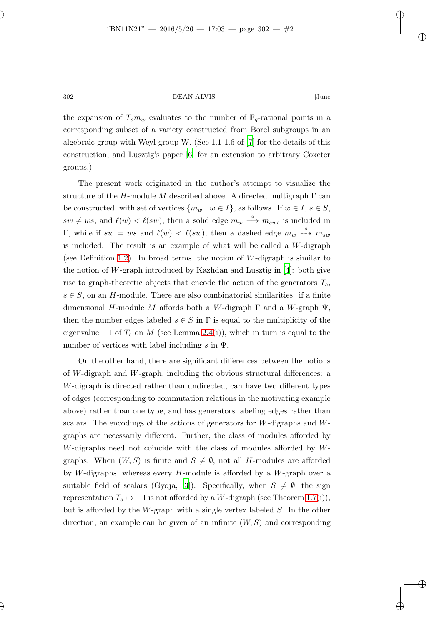the expansion of  $T_s m_w$  evaluates to the number of  $\mathbb{F}_q$ -rational points in a corresponding subset of a variety constructed from Borel subgroups in an algebraic group with Weyl group W. (See 1.1-1.6 of [\[7](#page-41-0)] for the details of this construction, and Lusztig's paper [\[6](#page-41-1)] for an extension to arbitrary Coxeter groups.)

The present work originated in the author's attempt to visualize the structure of the H-module M described above. A directed multigraph  $\Gamma$  can be constructed, with set of vertices  $\{m_w \mid w \in I\}$ , as follows. If  $w \in I$ ,  $s \in S$ ,  $sw \neq ws$ , and  $\ell(w) < \ell(sw)$ , then a solid edge  $m_w \stackrel{s}{\longrightarrow} m_{sws}$  is included in Γ, while if  $sw = ws$  and  $\ell(w) < \ell(sw)$ , then a dashed edge  $m_w \stackrel{s}{\dashrightarrow} m_{sw}$ is included. The result is an example of what will be called a W-digraph (see Definition [1.2\)](#page-3-0). In broad terms, the notion of W-digraph is similar to the notion of W-graph introduced by Kazhdan and Lusztig in  $[4]$ : both give rise to graph-theoretic objects that encode the action of the generators  $T_s$ ,  $s \in S$ , on an H-module. There are also combinatorial similarities: if a finite dimensional H-module M affords both a W-digraph  $\Gamma$  and a W-graph  $\Psi$ , then the number edges labeled  $s \in S$  in  $\Gamma$  is equal to the multiplicity of the eigenvalue  $-1$  of  $T_s$  on M (see Lemma [2.4\(](#page-9-0)i)), which in turn is equal to the number of vertices with label including s in  $\Psi$ .

On the other hand, there are significant differences between the notions of W-digraph and W-graph, including the obvious structural differences: a W-digraph is directed rather than undirected, can have two different types of edges (corresponding to commutation relations in the motivating example above) rather than one type, and has generators labeling edges rather than scalars. The encodings of the actions of generators for W-digraphs and Wgraphs are necessarily different. Further, the class of modules afforded by W-digraphs need not coincide with the class of modules afforded by Wgraphs. When  $(W, S)$  is finite and  $S \neq \emptyset$ , not all H-modules are afforded by W-digraphs, whereas every  $H$ -module is afforded by a W-graph over a suitable field of scalars (Gyoja, [\[3\]](#page-41-3)). Specifically, when  $S \neq \emptyset$ , the sign representation  $T_s \mapsto -1$  is not afforded by a W-digraph (see Theorem [1.7\(](#page-6-0)i)), but is afforded by the W-graph with a single vertex labeled  $S$ . In the other direction, an example can be given of an infinite  $(W, S)$  and corresponding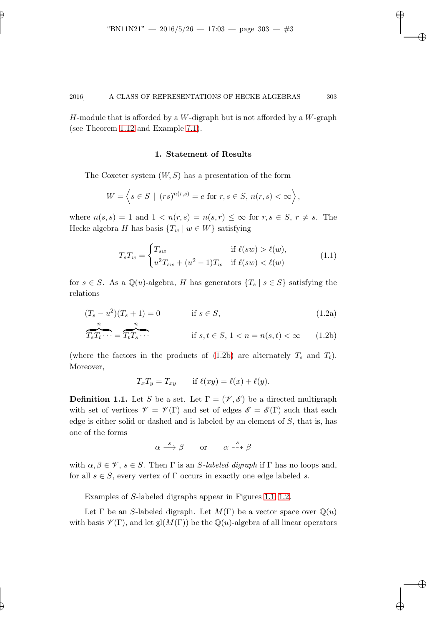H-module that is afforded by a W-digraph but is not afforded by a W-graph (see Theorem [1.12](#page-7-0) and Example [7.1\)](#page-39-0).

### 1. Statement of Results

The Coxeter system  $(W, S)$  has a presentation of the form

$$
W = \left\langle s \in S \mid (rs)^{n(r,s)} = e \text{ for } r, s \in S, n(r,s) < \infty \right\rangle,
$$

where  $n(s, s) = 1$  and  $1 < n(r, s) = n(s, r) \leq \infty$  for  $r, s \in S, r \neq s$ . The Hecke algebra H has basis  $\{T_w | w \in W\}$  satisfying

$$
T_s T_w = \begin{cases} T_{sw} & \text{if } \ell(sw) > \ell(w), \\ u^2 T_{sw} + (u^2 - 1) T_w & \text{if } \ell(sw) < \ell(w) \end{cases}
$$
(1.1)

for  $s \in S$ . As a Q(u)-algebra, H has generators  $\{T_s \mid s \in S\}$  satisfying the relations

(T<sup>s</sup> − u 2 )(T<sup>s</sup> + 1) = 0 if s ∈ S, (1.2a) n n

$$
\widehat{T_s T_t \cdots} = \widehat{T_t T_s \cdots} \qquad \text{if } s, t \in S, 1 < n = n(s, t) < \infty \qquad (1.2b)
$$

(where the factors in the products of  $(1.2b)$  are alternately  $T_s$  and  $T_t$ ). Moreover,

<span id="page-2-1"></span><span id="page-2-0"></span>
$$
T_xT_y = T_{xy} \quad \text{if } \ell(xy) = \ell(x) + \ell(y).
$$

**Definition 1.1.** Let S be a set. Let  $\Gamma = (\mathcal{V}, \mathcal{E})$  be a directed multigraph with set of vertices  $\mathscr{V} = \mathscr{V}(\Gamma)$  and set of edges  $\mathscr{E} = \mathscr{E}(\Gamma)$  such that each edge is either solid or dashed and is labeled by an element of  $S$ , that is, has one of the forms

$$
\alpha \stackrel{s}{\longrightarrow} \beta \qquad \text{or} \qquad \alpha \stackrel{s}{\dashrightarrow} \beta
$$

with  $\alpha, \beta \in \mathcal{V}$ ,  $s \in S$ . Then  $\Gamma$  is an *S*-labeled digraph if  $\Gamma$  has no loops and, for all  $s \in S$ , every vertex of  $\Gamma$  occurs in exactly one edge labeled s.

Examples of S-labeled digraphs appear in Figures [1.1](#page-3-1)[–1.2.](#page-3-2)

Let  $\Gamma$  be an S-labeled digraph. Let  $M(\Gamma)$  be a vector space over  $\mathbb{Q}(u)$ with basis  $\mathscr{V}(\Gamma)$ , and let gl $(M(\Gamma))$  be the Q(u)-algebra of all linear operators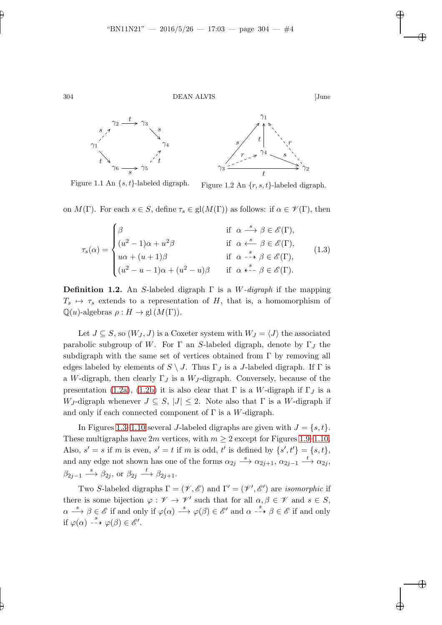

<span id="page-3-1"></span>Figure 1.1 An  $\{s, t\}$ -labeled digraph. Figure 1.2 An  $\{r, s, t\}$ -labeled digraph.

on  $M(\Gamma)$ . For each  $s \in S$ , define  $\tau_s \in gl(M(\Gamma))$  as follows: if  $\alpha \in \mathscr{V}(\Gamma)$ , then

<span id="page-3-4"></span><span id="page-3-2"></span>
$$
\tau_s(\alpha) = \begin{cases}\n\beta & \text{if } \alpha \stackrel{s}{\longrightarrow} \beta \in \mathscr{E}(\Gamma), \\
(u^2 - 1)\alpha + u^2\beta & \text{if } \alpha \stackrel{s}{\longleftarrow} \beta \in \mathscr{E}(\Gamma), \\
u\alpha + (u+1)\beta & \text{if } \alpha \stackrel{s}{\longleftarrow} \beta \in \mathscr{E}(\Gamma), \\
(u^2 - u - 1)\alpha + (u^2 - u)\beta & \text{if } \alpha \stackrel{s}{\longleftarrow} \beta \in \mathscr{E}(\Gamma).\n\end{cases}
$$
\n(1.3)

<span id="page-3-0"></span>**Definition 1.2.** An S-labeled digraph  $\Gamma$  is a W-digraph if the mapping  $T_s \mapsto \tau_s$  extends to a representation of H, that is, a homomorphism of  $\mathbb{Q}(u)$ -algebras  $\rho: H \to \text{gl}(M(\Gamma)).$ 

Let  $J \subseteq S$ , so  $(W_J, J)$  is a Coxeter system with  $W_J = \langle J \rangle$  the associated parabolic subgroup of W. For  $\Gamma$  an S-labeled digraph, denote by  $\Gamma_J$  the subdigraph with the same set of vertices obtained from  $\Gamma$  by removing all edges labeled by elements of  $S \setminus J$ . Thus  $\Gamma_J$  is a J-labeled digraph. If  $\Gamma$  is a W-digraph, then clearly  $\Gamma_J$  is a W<sub>J</sub>-digraph. Conversely, because of the presentation [\(1.2a\)](#page-2-1), [\(1.2b\)](#page-2-0) it is also clear that  $\Gamma$  is a W-digraph if  $\Gamma_J$  is a W<sub>J</sub>-digraph whenever  $J \subseteq S$ ,  $|J| \leq 2$ . Note also that  $\Gamma$  is a W-digraph if and only if each connected component of  $\Gamma$  is a W-digraph.

In Figures [1.3–](#page-4-0)[1.10](#page-5-0) several J-labeled digraphs are given with  $J = \{s, t\}$ . These multigraphs have  $2m$  vertices, with  $m \geq 2$  except for Figures [1.9–](#page-5-1)[1.10.](#page-5-0) Also,  $s' = s$  if m is even,  $s' = t$  if m is odd, t' is defined by  $\{s', t'\} = \{s, t\}$ , and any edge not shown has one of the forms  $\alpha_{2j} \stackrel{s}{\longrightarrow} \alpha_{2j+1}, \alpha_{2j-1} \stackrel{t}{\longrightarrow} \alpha_{2j}$ ,  $\beta_{2j-1} \stackrel{s}{\longrightarrow} \beta_{2j}$ , or  $\beta_{2j} \stackrel{t}{\longrightarrow} \beta_{2j+1}$ .

<span id="page-3-3"></span>Two S-labeled digraphs  $\Gamma = (\mathscr{V}, \mathscr{E})$  and  $\Gamma' = (\mathscr{V}', \mathscr{E}')$  are *isomorphic* if there is some bijection  $\varphi : \mathscr{V} \to \mathscr{V}'$  such that for all  $\alpha, \beta \in \mathscr{V}$  and  $s \in S$ ,  $\alpha \stackrel{s}{\longrightarrow} \beta \in \mathscr{E}$  if and only if  $\varphi(\alpha) \stackrel{s}{\longrightarrow} \varphi(\beta) \in \mathscr{E}'$  and  $\alpha \stackrel{s}{\dashrightarrow} \beta \in \mathscr{E}$  if and only if  $\varphi(\alpha) \dashrightarrow^s \varphi(\beta) \in \mathscr{E}'.$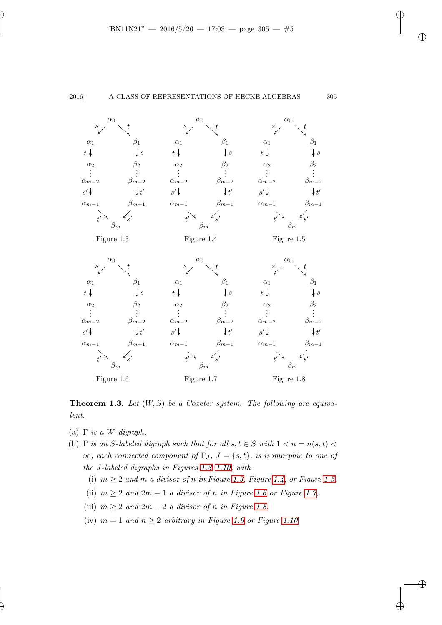$\alpha_1$ 

 $\alpha_2$  $t\downarrow$ 

.  $\vdots$   $\alpha_{m-2}$ 

 $\alpha_{m-1}$ s ′

t

s

 $α<sub>0</sub>$ 

 $\beta_1$ 

 $\downarrow s$ 

 $\beta_2$ 

.  $\vdots$ <br> $\beta_{m-2}$ 

 $\beta_{m-1}$ t ′

<span id="page-4-2"></span><span id="page-4-1"></span><span id="page-4-0"></span>′

 $\beta_m$ 

Figure 1.3

 $\mathscr{S}$ 

t





<span id="page-4-5"></span><span id="page-4-4"></span><span id="page-4-3"></span>**Theorem 1.3.** Let  $(W, S)$  be a Coxeter system. The following are equivalent.

- (a)  $\Gamma$  is a W-digraph.
- (b)  $\Gamma$  is an S-labeled digraph such that for all  $s, t \in S$  with  $1 < n = n(s, t)$  $\infty$ , each connected component of  $\Gamma_J$ ,  $J = \{s, t\}$ , is isomorphic to one of the J-labeled digraphs in Figures [1.3](#page-4-0)[–1.10,](#page-5-0) with
	- (i)  $m \geq 2$  and m a divisor of n in Figure [1.3,](#page-4-0) Figure [1.4,](#page-4-1) or Figure [1.5,](#page-4-2)
	- (ii)  $m \geq 2$  and  $2m 1$  a divisor of n in Figure [1.6](#page-4-3) or Figure [1.7,](#page-4-4)
	- (iii)  $m \geq 2$  and  $2m 2$  a divisor of n in Figure [1.8,](#page-4-5)
	- (iv)  $m = 1$  and  $n \geq 2$  arbitrary in Figure [1.9](#page-5-1) or Figure [1.10.](#page-5-0)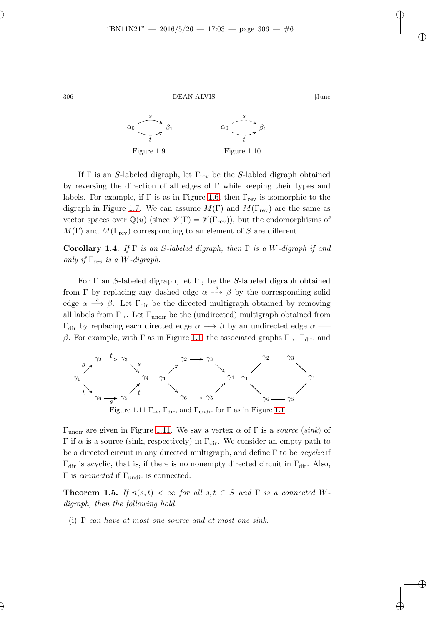<span id="page-5-1"></span>

If  $\Gamma$  is an S-labeled digraph, let  $\Gamma_{\text{rev}}$  be the S-labled digraph obtained by reversing the direction of all edges of Γ while keeping their types and labels. For example, if  $\Gamma$  is as in Figure [1.6,](#page-4-3) then  $\Gamma_{\text{rev}}$  is isomorphic to the digraph in Figure [1.7.](#page-4-4) We can assume  $M(\Gamma)$  and  $M(\Gamma_{\text{rev}})$  are the same as vector spaces over  $\mathbb{Q}(u)$  (since  $\mathscr{V}(\Gamma) = \mathscr{V}(\Gamma_{\text{rev}})$ ), but the endomorphisms of  $M(\Gamma)$  and  $M(\Gamma_{\text{rev}})$  corresponding to an element of S are different.

<span id="page-5-4"></span>Corollary 1.4. If  $\Gamma$  is an S-labeled digraph, then  $\Gamma$  is a W-digraph if and only if  $\Gamma_{rev}$  is a W-digraph.

For  $\Gamma$  an S-labeled digraph, let  $\Gamma_{\rightarrow}$  be the S-labeled digraph obtained from Γ by replacing any dashed edge  $\alpha \rightarrow \beta$  by the corresponding solid edge  $\alpha \stackrel{s}{\longrightarrow} \beta$ . Let  $\Gamma_{\text{dir}}$  be the directed multigraph obtained by removing all labels from  $\Gamma_{\rightarrow}$ . Let  $\Gamma_{\text{undir}}$  be the (undirected) multigraph obtained from  $\Gamma_{\text{dir}}$  by replacing each directed edge  $\alpha \longrightarrow \beta$  by an undirected edge  $\alpha \longrightarrow$ β. For example, with Γ as in Figure [1.1,](#page-3-1) the associated graphs  $\Gamma_{\rightarrow}$ ,  $\Gamma_{\text{dir}}$ , and



<span id="page-5-2"></span>Figure [1.1](#page-3-1)1  $\Gamma_{\rightarrow}$ ,  $\Gamma_{\text{dir}}$ , and  $\Gamma_{\text{undir}}$  for  $\Gamma$  as in Figure 1.1

 $\Gamma$ <sub>undir</sub> are given in Figure [1.11.](#page-5-2) We say a vertex α of Γ is a source (sink) of  $\Gamma$  if  $\alpha$  is a source (sink, respectively) in  $\Gamma_{\text{dir}}$ . We consider an empty path to be a directed circuit in any directed multigraph, and define  $\Gamma$  to be *acyclic* if  $\Gamma_{\text{dir}}$  is acyclic, that is, if there is no nonempty directed circuit in  $\Gamma_{\text{dir}}$ . Also,  $Γ$  is *connected* if  $Γ$ <sub>undir</sub> is connected.

<span id="page-5-3"></span>**Theorem 1.5.** If  $n(s,t) < \infty$  for all  $s,t \in S$  and  $\Gamma$  is a connected Wdigraph, then the following hold.

(i)  $\Gamma$  can have at most one source and at most one sink.

<span id="page-5-0"></span>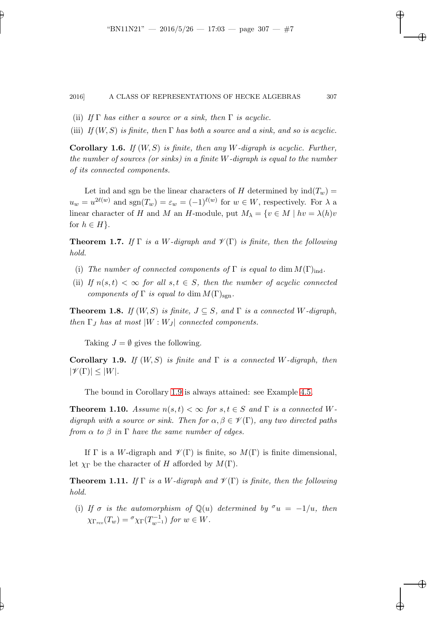- (ii) If  $\Gamma$  has either a source or a sink, then  $\Gamma$  is acyclic.
- (iii) If  $(W, S)$  is finite, then  $\Gamma$  has both a source and a sink, and so is acyclic.

**Corollary 1.6.** If  $(W, S)$  is finite, then any W-digraph is acyclic. Further, the number of sources (or sinks) in a finite  $W$ -digraph is equal to the number of its connected components.

Let ind and sgn be the linear characters of H determined by  $\text{ind}(T_w)$  =  $u_w = u^{2\ell(w)}$  and  $sgn(T_w) = \varepsilon_w = (-1)^{\ell(w)}$  for  $w \in W$ , respectively. For  $\lambda$  a linear character of H and M an H-module, put  $M_{\lambda} = \{v \in M \mid hv = \lambda(h)v\}$ for  $h \in H$ .

<span id="page-6-0"></span>**Theorem 1.7.** If  $\Gamma$  is a W-digraph and  $\mathcal{V}(\Gamma)$  is finite, then the following hold.

- (i) The number of connected components of  $\Gamma$  is equal to dim  $M(\Gamma)_{\text{ind}}$ .
- (ii) If  $n(s,t) < \infty$  for all  $s,t \in S$ , then the number of acyclic connected components of  $\Gamma$  is equal to dim  $M(\Gamma)_{\text{sgn}}$ .

<span id="page-6-2"></span>**Theorem 1.8.** If  $(W, S)$  is finite,  $J \subseteq S$ , and  $\Gamma$  is a connected W-digraph, then  $\Gamma_J$  has at most  $|W:W_J|$  connected components.

<span id="page-6-1"></span>Taking  $J = \emptyset$  gives the following.

**Corollary 1.9.** If  $(W, S)$  is finite and  $\Gamma$  is a connected W-digraph, then  $|\mathscr{V}(\Gamma)| \leq |W|.$ 

<span id="page-6-3"></span>The bound in Corollary [1.9](#page-6-1) is always attained: see Example [4.5.](#page-33-0)

**Theorem 1.10.** Assume  $n(s,t) < \infty$  for  $s,t \in S$  and  $\Gamma$  is a connected Wdigraph with a source or sink. Then for  $\alpha, \beta \in \mathcal{V}(\Gamma)$ , any two directed paths from  $\alpha$  to  $\beta$  in  $\Gamma$  have the same number of edges.

<span id="page-6-4"></span>If  $\Gamma$  is a W-digraph and  $\mathscr{V}(\Gamma)$  is finite, so  $M(\Gamma)$  is finite dimensional, let  $\chi_{\Gamma}$  be the character of H afforded by  $M(\Gamma)$ .

**Theorem 1.11.** If  $\Gamma$  is a W-digraph and  $\mathcal{V}(\Gamma)$  is finite, then the following hold.

(i) If  $\sigma$  is the automorphism of  $\mathbb{Q}(u)$  determined by  $\sigma u = -1/u$ , then  $\chi_{\Gamma_{rev}}(T_w) = \sigma \chi_{\Gamma}(T_{w^{-1}}^{-1})$  for  $w \in W$ .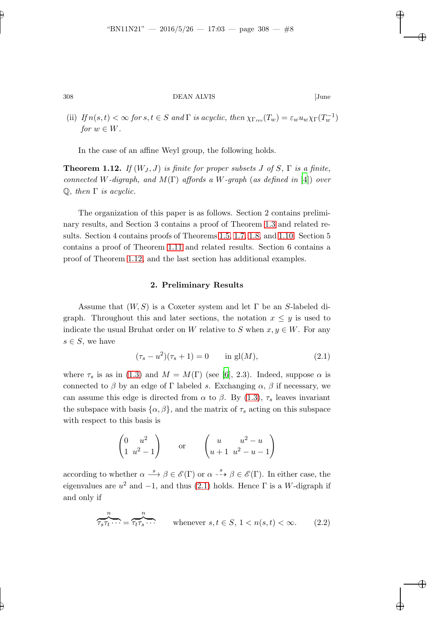(ii) If  $n(s,t) < \infty$  for  $s, t \in S$  and  $\Gamma$  is acyclic, then  $\chi_{\Gamma_{rev}}(T_w) = \varepsilon_w u_w \chi_{\Gamma}(T_w^{-1})$ for  $w \in W$ .

<span id="page-7-0"></span>In the case of an affine Weyl group, the following holds.

**Theorem 1.12.** If  $(W_J, J)$  is finite for proper subsets J of S,  $\Gamma$  is a finite, connected W-digraph, and  $M(\Gamma)$  affords a W-graph (as defined in [\[4\]](#page-41-2)) over  $\mathbb{Q}$ , then  $\Gamma$  is acyclic.

The organization of this paper is as follows. Section 2 contains preliminary results, and Section 3 contains a proof of Theorem [1.3](#page-3-3) and related results. Section 4 contains proofs of Theorems [1.5,](#page-5-3) [1.7,](#page-6-0) [1.8,](#page-6-2) and [1.10.](#page-6-3) Section 5 contains a proof of Theorem [1.11](#page-6-4) and related results. Section 6 contains a proof of Theorem [1.12,](#page-7-0) and the last section has additional examples.

## 2. Preliminary Results

Assume that  $(W, S)$  is a Coxeter system and let  $\Gamma$  be an S-labeled digraph. Throughout this and later sections, the notation  $x \leq y$  is used to indicate the usual Bruhat order on W relative to S when  $x, y \in W$ . For any  $s \in S$ , we have

<span id="page-7-1"></span>
$$
(\tau_s - u^2)(\tau_s + 1) = 0 \quad \text{in } \mathbf{gl}(M), \tag{2.1}
$$

where  $\tau_s$  is as in [\(1.3\)](#page-3-4) and  $M = M(\Gamma)$  (see [\[6](#page-41-1)], 2.3). Indeed, suppose  $\alpha$  is connected to  $\beta$  by an edge of Γ labeled s. Exchanging  $\alpha$ ,  $\beta$  if necessary, we can assume this edge is directed from  $\alpha$  to  $\beta$ . By [\(1.3\)](#page-3-4),  $\tau_s$  leaves invariant the subspace with basis  $\{\alpha, \beta\}$ , and the matrix of  $\tau_s$  acting on this subspace with respect to this basis is

$$
\begin{pmatrix} 0 & u^2 \\ 1 & u^2 - 1 \end{pmatrix}
$$
 or 
$$
\begin{pmatrix} u & u^2 - u \\ u + 1 & u^2 - u - 1 \end{pmatrix}
$$

according to whether  $\alpha \stackrel{s}{\longrightarrow} \beta \in \mathscr{E}(\Gamma)$  or  $\alpha \stackrel{s}{\dashrightarrow} \beta \in \mathscr{E}(\Gamma)$ . In either case, the eigenvalues are  $u^2$  and  $-1$ , and thus [\(2.1\)](#page-7-1) holds. Hence  $\Gamma$  is a W-digraph if and only if

<span id="page-7-2"></span>
$$
\overbrace{\tau_s \tau_t \cdots}^n = \overbrace{\tau_t \tau_s \cdots}^n \qquad \text{whenever } s, t \in S, 1 < n(s, t) < \infty. \tag{2.2}
$$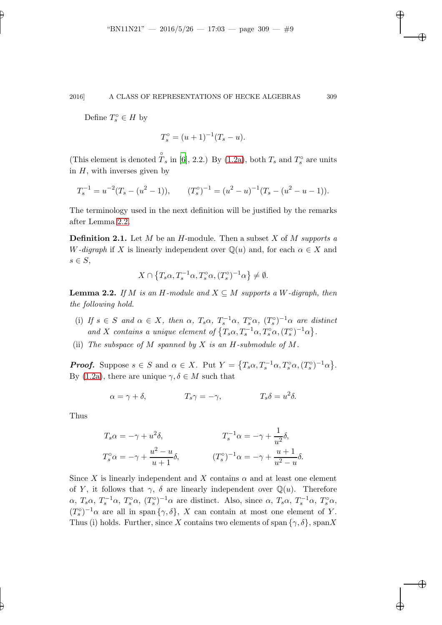Define  $T_s^{\circ} \in H$  by

$$
T_s^{\circ} = (u+1)^{-1}(T_s - u).
$$

(This element is denoted  $\hat{T}_s$  in [\[6](#page-41-1)], 2.2.) By [\(1.2a\)](#page-2-1), both  $T_s$  and  $T_s^{\circ}$  are units in  $H$ , with inverses given by

$$
T_s^{-1} = u^{-2}(T_s - (u^2 - 1)), \qquad (T_s^{\circ})^{-1} = (u^2 - u)^{-1}(T_s - (u^2 - u - 1)).
$$

The terminology used in the next definition will be justified by the remarks after Lemma [2.2.](#page-8-0)

**Definition 2.1.** Let  $M$  be an  $H$ -module. Then a subset  $X$  of  $M$  supports a W-digraph if X is linearly independent over  $\mathbb{Q}(u)$  and, for each  $\alpha \in X$  and  $s \in S$ ,

$$
X \cap \{T_s \alpha, T_s^{-1} \alpha, T_s^{\circ} \alpha, (T_s^{\circ})^{-1} \alpha\} \neq \emptyset.
$$

<span id="page-8-0"></span>**Lemma 2.2.** If M is an H-module and  $X \subseteq M$  supports a W-digraph, then the following hold.

- (i) If  $s \in S$  and  $\alpha \in X$ , then  $\alpha$ ,  $T_s \alpha$ ,  $T_s^{-1} \alpha$ ,  $T_s^{\circ} \alpha$ ,  $(T_s^{\circ})^{-1} \alpha$  are distinct and X contains a unique element of  $\{T_s \alpha, T_s^{-1} \alpha, T_s^{\circ} \alpha, (T_s^{\circ})^{-1} \alpha\}.$
- (ii) The subspace of M spanned by X is an  $H$ -submodule of M.

**Proof.** Suppose  $s \in S$  and  $\alpha \in X$ . Put  $Y = \{T_s \alpha, T_s^{-1} \alpha, T_s^{\circ} \alpha, (T_s^{\circ})^{-1} \alpha\}.$ By [\(1.2a\)](#page-2-1), there are unique  $\gamma, \delta \in M$  such that

$$
\alpha = \gamma + \delta, \qquad T_s \gamma = -\gamma, \qquad T_s \delta = u^2 \delta.
$$

Thus

$$
T_s \alpha = -\gamma + u^2 \delta,
$$
  
\n
$$
T_s^{-1} \alpha = -\gamma + \frac{1}{u^2} \delta,
$$
  
\n
$$
T_s^{-1} \alpha = -\gamma + \frac{1}{u^2} \delta,
$$
  
\n
$$
T_s^{-1} \alpha = -\gamma + \frac{1}{u^2} \delta,
$$
  
\n
$$
(T_s^{\circ})^{-1} \alpha = -\gamma + \frac{u+1}{u^2 - u} \delta.
$$

Since X is linearly independent and X contains  $\alpha$  and at least one element of Y, it follows that  $\gamma$ ,  $\delta$  are linearly independent over  $\mathbb{Q}(u)$ . Therefore  $\alpha$ ,  $T_s \alpha$ ,  $T_s^{-1} \alpha$ ,  $T_s^{\circ} \alpha$ ,  $(T_s^{\circ})^{-1} \alpha$  are distinct. Also, since  $\alpha$ ,  $T_s \alpha$ ,  $T_s^{-1} \alpha$ ,  $T_s^{\circ} \alpha$ ,  $(T_s^{\circ})^{-1}\alpha$  are all in span  $\{\gamma,\delta\}, X$  can contain at most one element of Y. Thus (i) holds. Further, since X contains two elements of span  $\{\gamma, \delta\}$ , spanX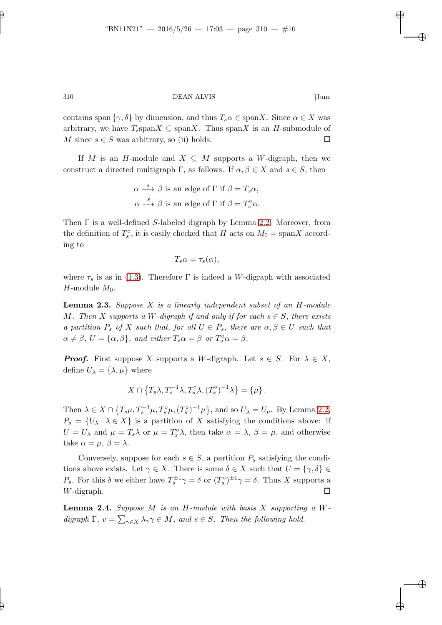contains span  $\{\gamma, \delta\}$  by dimension, and thus  $T_s \alpha \in \text{span} X$ . Since  $\alpha \in X$  was arbitrary, we have  $T_s$ span $X \subseteq \text{span}X$ . Thus span $X$  is an H-submodule of M since  $s \in S$  was arbitrary, so (ii) holds.

If M is an H-module and  $X \subseteq M$  supports a W-digraph, then we construct a directed multigraph  $\Gamma$ , as follows. If  $\alpha, \beta \in X$  and  $s \in S$ , then

$$
\alpha \stackrel{s}{\longrightarrow} \beta \text{ is an edge of } \Gamma \text{ if } \beta = T_s \alpha,
$$
  

$$
\alpha \stackrel{s}{\dashrightarrow} \beta \text{ is an edge of } \Gamma \text{ if } \beta = T_s^{\circ} \alpha.
$$

Then  $\Gamma$  is a well-defined S-labeled digraph by Lemma [2.2.](#page-8-0) Moreover, from the definition of  $T_s^{\circ}$ , it is easily checked that H acts on  $M_0 = \text{span} X$  according to

$$
T_s \alpha = \tau_s(\alpha),
$$

<span id="page-9-1"></span>where  $\tau_s$  is as in [\(1.3\)](#page-3-4). Therefore  $\Gamma$  is indeed a W-digraph with associated H-module  $M_0$ .

**Lemma 2.3.** Suppose  $X$  is a linearly independent subset of an  $H$ -module M. Then X supports a W-digraph if and only if for each  $s \in S$ , there exists a partition  $P_s$  of X such that, for all  $U \in P_s$ , there are  $\alpha, \beta \in U$  such that  $\alpha \neq \beta$ ,  $U = {\alpha, \beta}$ , and either  $T_s \alpha = \beta$  or  $T_s^{\circ} \alpha = \beta$ .

**Proof.** First suppose X supports a W-digraph. Let  $s \in S$ . For  $\lambda \in X$ , define  $U_{\lambda} = {\lambda, \mu}$  where

$$
X \cap \{T_s \lambda, T_s^{-1} \lambda, T_s^{\circ} \lambda, (T_s^{\circ})^{-1} \lambda\} = \{\mu\}.
$$

Then  $\lambda \in X \cap \{T_s\mu, T_s^{-1}\mu, T_s^{\circ}\mu, (T_s^{\circ})^{-1}\mu\}$ , and so  $U_{\lambda} = U_{\mu}$ . By Lemma [2.2,](#page-8-0)  $P_s = \{U_\lambda \mid \lambda \in X\}$  is a partition of X satisfying the conditions above: if  $U = U_{\lambda}$  and  $\mu = T_s \lambda$  or  $\mu = T_s^{\circ} \lambda$ , then take  $\alpha = \lambda$ ,  $\beta = \mu$ , and otherwise take  $\alpha = \mu, \beta = \lambda$ .

Conversely, suppose for each  $s \in S$ , a partition  $P_s$  satisfying the conditions above exists. Let  $\gamma \in X$ . There is some  $\delta \in X$  such that  $U = {\gamma, \delta} \in$ P<sub>s</sub>. For this  $\delta$  we either have  $T_s^{\pm 1} \gamma = \delta$  or  $(T_s^{\circ})^{\pm 1} \gamma = \delta$ . Thus X supports a  $W$ -digraph.  $\square$ 

<span id="page-9-0"></span>**Lemma 2.4.** Suppose M is an H-module with basis X supporting a  $W$ digraph  $\Gamma$ ,  $v = \sum_{\gamma \in X} \lambda_{\gamma} \gamma \in M$ , and  $s \in S$ . Then the following hold.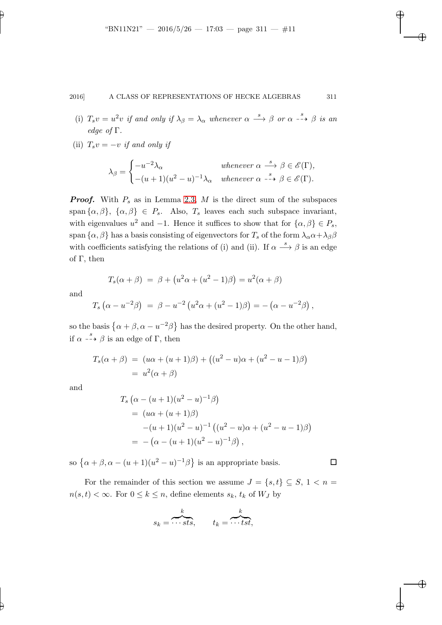- (i)  $T_s v = u^2 v$  if and only if  $\lambda_\beta = \lambda_\alpha$  whenever  $\alpha \stackrel{s}{\longrightarrow} \beta$  or  $\alpha \stackrel{s}{\dashrightarrow} \beta$  is an edge of Γ.
- (ii)  $T_s v = -v$  if and only if

$$
\lambda_{\beta} = \begin{cases}\n-u^{-2}\lambda_{\alpha} & \text{whenever } \alpha \stackrel{s}{\longrightarrow} \beta \in \mathscr{E}(\Gamma), \\
-(u+1)(u^2-u)^{-1}\lambda_{\alpha} & \text{whenever } \alpha \stackrel{s}{\dashrightarrow} \beta \in \mathscr{E}(\Gamma).\n\end{cases}
$$

**Proof.** With  $P_s$  as in Lemma [2.3,](#page-9-1) M is the direct sum of the subspaces span  $\{\alpha, \beta\}, \{\alpha, \beta\} \in P_s$ . Also,  $T_s$  leaves each such subspace invariant, with eigenvalues  $u^2$  and  $-1$ . Hence it suffices to show that for  $\{\alpha, \beta\} \in P_s$ , span  $\{\alpha, \beta\}$  has a basis consisting of eigenvectors for  $T_s$  of the form  $\lambda_\alpha \alpha + \lambda_\beta \beta$ with coefficients satisfying the relations of (i) and (ii). If  $\alpha \stackrel{s}{\longrightarrow} \beta$  is an edge of Γ, then

$$
T_s(\alpha + \beta) = \beta + (u^2 \alpha + (u^2 - 1)\beta) = u^2(\alpha + \beta)
$$

and

$$
T_s (\alpha - u^{-2} \beta) = \beta - u^{-2} (u^2 \alpha + (u^2 - 1) \beta) = - (\alpha - u^{-2} \beta) ,
$$

so the basis  $\{\alpha + \beta, \alpha - u^{-2}\beta\}$  has the desired property. On the other hand, if  $\alpha \stackrel{s}{\dashrightarrow} \beta$  is an edge of  $\Gamma$ , then

$$
T_s(\alpha + \beta) = (u\alpha + (u+1)\beta) + ((u^2 - u)\alpha + (u^2 - u - 1)\beta)
$$
  
=  $u^2(\alpha + \beta)$ 

and

$$
T_s \left( \alpha - (u+1)(u^2 - u)^{-1} \beta \right)
$$
  
=  $(u\alpha + (u+1)\beta)$   
 $-(u+1)(u^2 - u)^{-1} \left( (u^2 - u)\alpha + (u^2 - u - 1)\beta \right)$   
=  $-(\alpha - (u+1)(u^2 - u)^{-1}\beta),$ 

so  $\{\alpha + \beta, \alpha - (u+1)(u^2 - u)^{-1}\beta\}$  is an appropriate basis.

For the remainder of this section we assume  $J = \{s, t\} \subseteq S, 1 \leq n =$  $n(s,t) < \infty$ . For  $0 \leq k \leq n$ , define elements  $s_k$ ,  $t_k$  of  $W_J$  by

$$
s_k = \overbrace{\cdots \textit{sts}}^k, \qquad t_k = \overbrace{\cdots \textit{tst}}^k,
$$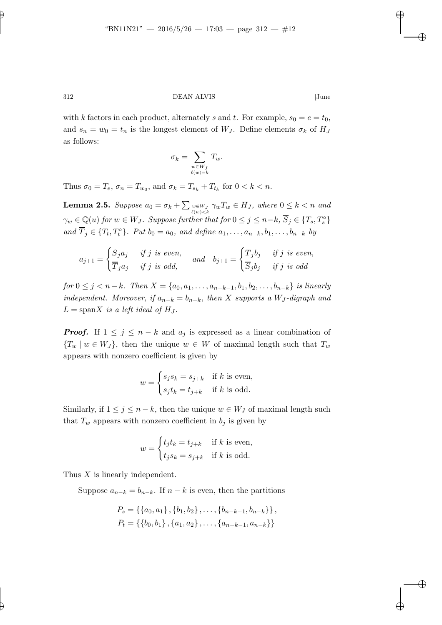with k factors in each product, alternately s and t. For example,  $s_0 = e = t_0$ , and  $s_n = w_0 = t_n$  is the longest element of  $W_J$ . Define elements  $\sigma_k$  of  $H_J$ as follows:

$$
\sigma_k = \sum_{\substack{w \in W_J \\ \ell(w) = k}} T_w.
$$

<span id="page-11-0"></span>Thus  $\sigma_0 = T_e$ ,  $\sigma_n = T_{w_0}$ , and  $\sigma_k = T_{s_k} + T_{t_k}$  for  $0 < k < n$ .

**Lemma 2.5.** Suppose  $a_0 = \sigma_k + \sum_{w \in W_J} \gamma_w T_w \in H_J$ , where  $0 \leq k < n$  and  $\gamma_w \in \mathbb{Q}(u)$  for  $w \in W_J$ . Suppose further that for  $0 \leq j \leq n-k$ ,  $\overline{S}_j \in \{T_s, T_s^{\circ}\}\$ and  $\overline{T}_j \in \{T_t, T_t^{\circ}\}\.$  Put  $b_0 = a_0$ , and define  $a_1, \ldots, a_{n-k}, b_1, \ldots, b_{n-k}$  by

$$
a_{j+1} = \begin{cases} \overline{S}_j a_j & \text{if } j \text{ is even,} \\ \overline{T}_j a_j & \text{if } j \text{ is odd,} \end{cases} \quad \text{and} \quad b_{j+1} = \begin{cases} \overline{T}_j b_j & \text{if } j \text{ is even,} \\ \overline{S}_j b_j & \text{if } j \text{ is odd.} \end{cases}
$$

for  $0 \le j < n-k$ . Then  $X = \{a_0, a_1, \ldots, a_{n-k-1}, b_1, b_2, \ldots, b_{n-k}\}\$ is linearly independent. Moreover, if  $a_{n-k} = b_{n-k}$ , then X supports a W<sub>J</sub>-digraph and  $L = \text{span}X$  is a left ideal of  $H_J$ .

**Proof.** If  $1 \leq j \leq n - k$  and  $a_j$  is expressed as a linear combination of  ${T_w | w \in W_J},$  then the unique  $w \in W$  of maximal length such that  $T_w$ appears with nonzero coefficient is given by

$$
w = \begin{cases} s_j s_k = s_{j+k} & \text{if } k \text{ is even,} \\ s_j t_k = t_{j+k} & \text{if } k \text{ is odd.} \end{cases}
$$

Similarly, if  $1 \leq j \leq n-k$ , then the unique  $w \in W_J$  of maximal length such that  $T_w$  appears with nonzero coefficient in  $b_j$  is given by

$$
w = \begin{cases} t_j t_k = t_{j+k} & \text{if } k \text{ is even,} \\ t_j s_k = s_{j+k} & \text{if } k \text{ is odd.} \end{cases}
$$

Thus X is linearly independent.

Suppose  $a_{n-k} = b_{n-k}$ . If  $n - k$  is even, then the partitions

$$
P_s = \{\{a_0, a_1\}, \{b_1, b_2\}, \dots, \{b_{n-k-1}, b_{n-k}\}\},
$$
  

$$
P_t = \{\{b_0, b_1\}, \{a_1, a_2\}, \dots, \{a_{n-k-1}, a_{n-k}\}\}\
$$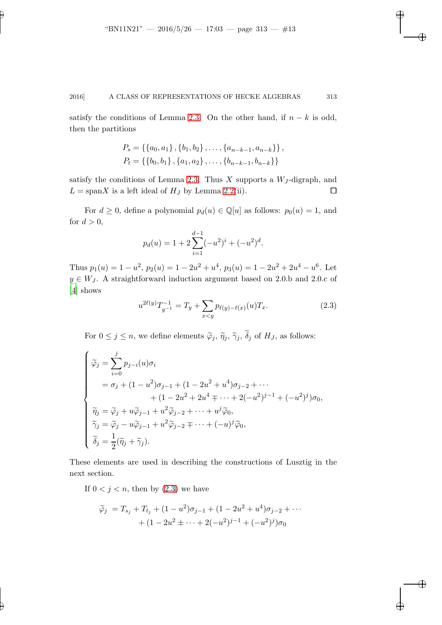satisfy the conditions of Lemma [2.3.](#page-9-1) On the other hand, if  $n - k$  is odd, then the partitions

$$
P_s = \{\{a_0, a_1\}, \{b_1, b_2\}, \dots, \{a_{n-k-1}, a_{n-k}\}\},
$$
  

$$
P_t = \{\{b_0, b_1\}, \{a_1, a_2\}, \dots, \{b_{n-k-1}, b_{n-k}\}\}\
$$

satisfy the conditions of Lemma [2.3.](#page-9-1) Thus  $X$  supports a  $W_J$ -digraph, and  $L = \text{span}X$  is a left ideal of  $H_J$  by Lemma [2.2\(](#page-8-0)ii).

For  $d \geq 0$ , define a polynomial  $p_d(u) \in \mathbb{Q}[u]$  as follows:  $p_0(u) = 1$ , and for  $d > 0$ ,

$$
p_d(u) = 1 + 2\sum_{i=1}^{d-1} (-u^2)^i + (-u^2)^d.
$$

Thus  $p_1(u) = 1 - u^2$ ,  $p_2(u) = 1 - 2u^2 + u^4$ ,  $p_3(u) = 1 - 2u^2 + 2u^4 - u^6$ . Let  $y \in W_J$ . A straightforward induction argument based on 2.0.b and 2.0.c of [\[4](#page-41-2)] shows

<span id="page-12-0"></span>
$$
u^{2\ell(y)}T_{y^{-1}}^{-1} = T_y + \sum_{x < y} p_{\ell(y)-\ell(x)}(u)T_x.
$$
 (2.3)

For  $0 \leq j \leq n$ , we define elements  $\tilde{\varphi}_j$ ,  $\tilde{\eta}_j$ ,  $\tilde{\gamma}_j$ ,  $\delta_j$  of  $H_J$ , as follows:

$$
\begin{cases}\n\widetilde{\varphi}_j = \sum_{i=0}^j p_{j-i}(u)\sigma_i \\
= \sigma_j + (1 - u^2)\sigma_{j-1} + (1 - 2u^2 + u^4)\sigma_{j-2} + \cdots \\
+ (1 - 2u^2 + 2u^4 + \cdots + 2(-u^2)^{j-1} + (-u^2)^j)\sigma_0, \\
\widetilde{\eta}_j = \widetilde{\varphi}_j + u\widetilde{\varphi}_{j-1} + u^2\widetilde{\varphi}_{j-2} + \cdots + u^j\widetilde{\varphi}_0, \\
\widetilde{\gamma}_j = \widetilde{\varphi}_j - u\widetilde{\varphi}_{j-1} + u^2\widetilde{\varphi}_{j-2} + \cdots + (-u)^j\widetilde{\varphi}_0, \\
\widetilde{\delta}_j = \frac{1}{2}(\widetilde{\eta}_j + \widetilde{\gamma}_j).\n\end{cases}
$$

These elements are used in describing the constructions of Lusztig in the next section.

If  $0 < j < n$ , then by  $(2.3)$  we have

<span id="page-12-1"></span>
$$
\widetilde{\varphi}_j = T_{s_j} + T_{t_j} + (1 - u^2)\sigma_{j-1} + (1 - 2u^2 + u^4)\sigma_{j-2} + \cdots
$$

$$
+ (1 - 2u^2 \pm \cdots + 2(-u^2)^{j-1} + (-u^2)^j)\sigma_0
$$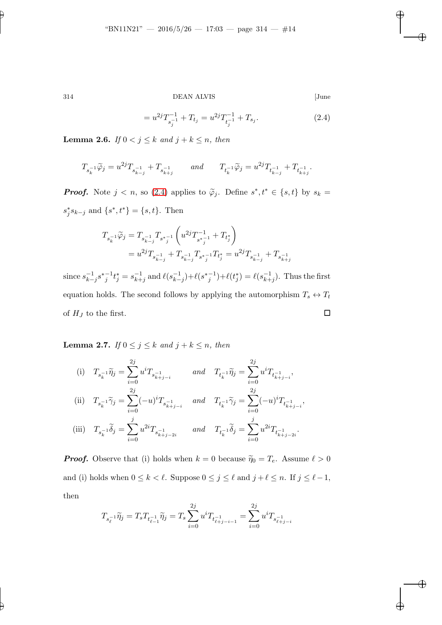$=u^{2j}T_{-1}^{-1}$  $s_j^{-1} + T_{t_j} = u^{2j} T_{t_j^{-1}}^{-1}$  $\frac{t_i^{-1}+T_{s_j}}{t_j^{-1}}$  $(2.4)$ 

<span id="page-13-0"></span>**Lemma 2.6.** If  $0 < j \leq k$  and  $j + k \leq n$ , then

$$
T_{s_k^{-1}}\widetilde{\varphi}_j=u^{2j}T_{s_{k-j}^{-1}}+T_{s_{k+j}^{-1}} \qquad and \qquad T_{t_k^{-1}}\widetilde{\varphi}_j=u^{2j}T_{t_{k-j}^{-1}}+T_{t_{k+j}^{-1}}.
$$

**Proof.** Note  $j < n$ , so [\(2.4\)](#page-12-1) applies to  $\tilde{\varphi}_j$ . Define  $s^*, t^* \in \{s, t\}$  by  $s_k =$  $s_j^* s_{k-j}$  and  $\{s^*, t^*\} = \{s, t\}.$  Then

$$
\begin{aligned} T_{s_k^{-1}}\tilde{\varphi}_j &=T_{s_{k-j}^{-1}}T_{s^*_{j}^{-1}}\left(u^{2j}T_{s^*_{j}^{-1}}^{-1}+T_{t^*_{j}}\right)\\ &=u^{2j}T_{s_{k-j}^{-1}}+T_{s_{k-j}^{-1}}T_{s^*_{j}^{-1}}T_{t^*_{j}}=u^{2j}T_{s_{k-j}^{-1}}+T_{s_{k+j}^{-1}} \end{aligned}
$$

since  $s_{k-j}^{-1}s_{j}^{*-1}t_{j}^{*}=s_{k+j}^{-1}$  and  $\ell(s_{k-j}^{-1})+\ell(s_{j}^{*-1})+\ell(t_{j}^{*})=\ell(s_{k+j}^{-1})$ . Thus the first equation holds. The second follows by applying the automorphism  $T_s \leftrightarrow T_t$ of  $H_J$  to the first.

<span id="page-13-1"></span>**Lemma 2.7.** If  $0 \leq j \leq k$  and  $j + k \leq n$ , then

(i) 
$$
T_{s_k^{-1}}\tilde{\eta}_j = \sum_{i=0}^{2j} u^i T_{s_{k+j-i}^{-1}}
$$
 and  $T_{t_k^{-1}}\tilde{\eta}_j = \sum_{i=0}^{2j} u^i T_{t_{k+j-i}^{-1}}^T$ ,  
\n(ii)  $T_{s_k^{-1}}\tilde{\gamma}_j = \sum_{i=0}^{2j} (-u)^i T_{s_{k+j-i}^{-1}}$  and  $T_{t_k^{-1}}\tilde{\gamma}_j = \sum_{i=0}^{2j} (-u)^i T_{t_{k+j-i}^{-1}}^T$ ,  
\n(iii)  $T_{s_k^{-1}}\tilde{\delta}_j = \sum_{i=0}^j u^{2i} T_{s_{k+j-2i}^{-1}}$  and  $T_{t_k^{-1}}\tilde{\delta}_j = \sum_{i=0}^j u^{2i} T_{t_{k+j-2i}^{-1}}^T$ .

**Proof.** Observe that (i) holds when  $k = 0$  because  $\tilde{\eta}_0 = T_e$ . Assume  $\ell > 0$ and (i) holds when  $0 \leq k < \ell$ . Suppose  $0 \leq j \leq \ell$  and  $j + \ell \leq n$ . If  $j \leq \ell - 1$ , then

$$
T_{s_{\ell}^{-1}}\widetilde{\eta}_j = T_sT_{t_{\ell-1}^{-1}}\widetilde{\eta}_j = T_s\sum_{i=0}^{2j}u^iT_{t_{\ell+j-i-1}^{-1}} = \sum_{i=0}^{2j}u^iT_{s_{\ell+j-i}^{-1}}
$$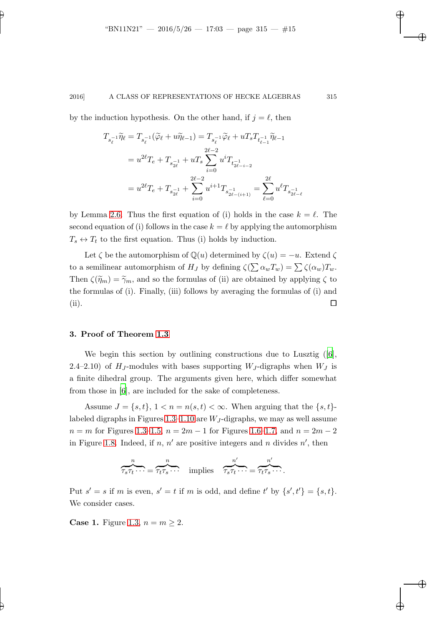by the induction hypothesis. On the other hand, if  $j = \ell$ , then

$$
T_{s_{\ell}^{-1}}\widetilde{\eta}_{\ell} = T_{s_{\ell}^{-1}}(\widetilde{\varphi}_{\ell} + u\widetilde{\eta}_{\ell-1}) = T_{s_{\ell}^{-1}}\widetilde{\varphi}_{\ell} + uT_{s}T_{t_{\ell-1}^{-1}}\widetilde{\eta}_{\ell-1}
$$
  
\n
$$
= u^{2\ell}T_{e} + T_{s_{2\ell}^{-1}} + uT_{s}\sum_{i=0}^{2\ell-2} u^{i}T_{t_{2\ell-i-2}^{-1}}
$$
  
\n
$$
= u^{2\ell}T_{e} + T_{s_{2\ell}^{-1}} + \sum_{i=0}^{2\ell-2} u^{i+1}T_{s_{2\ell-(i+1)}^{-1}} = \sum_{\ell=0}^{2\ell} u^{\ell}T_{s_{2\ell-1}^{-1}}
$$

by Lemma [2.6.](#page-13-0) Thus the first equation of (i) holds in the case  $k = \ell$ . The second equation of (i) follows in the case  $k = \ell$  by applying the automorphism  $T_s \leftrightarrow T_t$  to the first equation. Thus (i) holds by induction.

Let  $\zeta$  be the automorphism of  $\mathbb{Q}(u)$  determined by  $\zeta(u) = -u$ . Extend  $\zeta$ to a semilinear automorphism of  $H_J$  by defining  $\zeta(\sum \alpha_w T_w) = \sum \zeta(\alpha_w) T_w$ . Then  $\zeta(\tilde{\eta}_m) = \tilde{\gamma}_m$ , and so the formulas of (ii) are obtained by applying  $\zeta$  to the formulas of (i). Finally, (iii) follows by averaging the formulas of (i) and (ii).

## 3. Proof of Theorem [1.3](#page-3-3)

We begin this section by outlining constructions due to Lusztig([\[6\]](#page-41-1), 2.4–2.10) of  $H_J$ -modules with bases supporting  $W_J$ -digraphs when  $W_J$  is a finite dihedral group. The arguments given here, which differ somewhat from those in [\[6](#page-41-1)], are included for the sake of completeness.

Assume  $J = \{s, t\}, 1 < n = n(s, t) < \infty$ . When arguing that the  $\{s, t\}$ -labeled digraphs in Figures [1.3–](#page-4-0)[1.10](#page-5-0) are  $W_J$ -digraphs, we may as well assume  $n = m$  for Figures [1.3–](#page-4-0)[1.5,](#page-4-2)  $n = 2m - 1$  for Figures [1.6](#page-4-3)[–1.7,](#page-4-4) and  $n = 2m - 2$ in Figure [1.8.](#page-4-5) Indeed, if  $n, n'$  are positive integers and n divides  $n'$ , then

$$
\overbrace{\tau_s \tau_t \cdots}^n = \overbrace{\tau_t \tau_s \cdots}^n \quad \text{implies} \quad \overbrace{\tau_s \tau_t \cdots}^{n'} = \overbrace{\tau_t \tau_s \cdots}^{n'}.
$$

Put  $s' = s$  if m is even,  $s' = t$  if m is odd, and define t' by  $\{s', t'\} = \{s, t\}.$ We consider cases.

**Case 1.** Figure [1.3,](#page-4-0)  $n = m \geq 2$ .

 $\ell$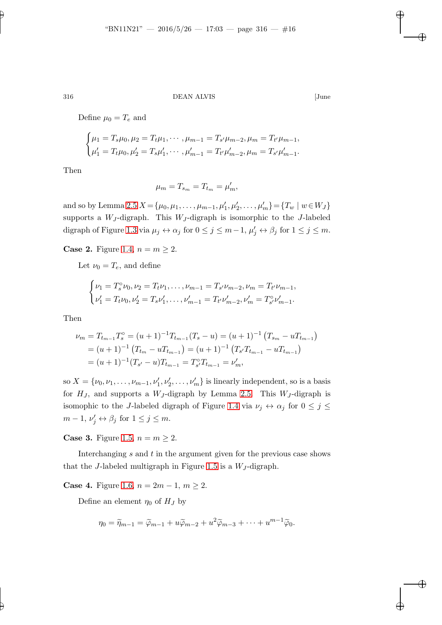Define  $\mu_0 = T_e$  and

$$
\begin{cases}\n\mu_1 = T_s \mu_0, \mu_2 = T_t \mu_1, \cdots, \mu_{m-1} = T_{s'} \mu_{m-2}, \mu_m = T_{t'} \mu_{m-1}, \\
\mu'_1 = T_t \mu_0, \mu'_2 = T_s \mu'_1, \cdots, \mu'_{m-1} = T_{t'} \mu'_{m-2}, \mu_m = T_{s'} \mu'_{m-1}.\n\end{cases}
$$

Then

$$
\mu_m = T_{s_m} = T_{t_m} = \mu'_m,
$$

and so by Lemma [2.5](#page-11-0)  $X = {\mu_0, \mu_1, ..., \mu_{m-1}, \mu'_1, \mu'_2, ..., \mu'_m} = {T_w | w \in W_J}$ supports a  $W_J$ -digraph. This  $W_J$ -digraph is isomorphic to the J-labeled digraph of Figure [1.3](#page-4-0) via  $\mu_j \leftrightarrow \alpha_j$  for  $0 \le j \le m-1$ ,  $\mu'_j \leftrightarrow \beta_j$  for  $1 \le j \le m$ .

**Case 2.** Figure [1.4,](#page-4-1)  $n = m \geq 2$ .

Let  $\nu_0 = T_e$ , and define

$$
\begin{cases} \nu_1 = T_s^\circ \nu_0, \nu_2 = T_t \nu_1, \dots, \nu_{m-1} = T_{s'} \nu_{m-2}, \nu_m = T_{t'} \nu_{m-1}, \\ \nu'_1 = T_t \nu_0, \nu'_2 = T_s \nu'_1, \dots, \nu'_{m-1} = T_{t'} \nu'_{m-2}, \nu'_m = T_{s'}^\circ \nu'_{m-1}. \end{cases}
$$

Then

$$
\nu_m = T_{t_{m-1}} T_s^\circ = (u+1)^{-1} T_{t_{m-1}} (T_s - u) = (u+1)^{-1} (T_{s_m} - u T_{t_{m-1}})
$$
  
=  $(u+1)^{-1} (T_{t_m} - u T_{t_{m-1}}) = (u+1)^{-1} (T_{s'} T_{t_{m-1}} - u T_{t_{m-1}})$   
=  $(u+1)^{-1} (T_{s'} - u) T_{t_{m-1}} = T_{s'}^\circ T_{t_{m-1}} = \nu'_m,$ 

so  $X = \{\nu_0, \nu_1, \dots, \nu_{m-1}, \nu'_1, \nu'_2, \dots, \nu'_m\}$  is linearly independent, so is a basis for  $H_J$ , and supports a  $W_J$ -digraph by Lemma [2.5.](#page-11-0) This  $W_J$ -digraph is isomophic to the J-labeled digraph of Figure [1.4](#page-4-1) via  $\nu_j \leftrightarrow \alpha_j$  for  $0 \le j \le$  $m-1, \nu'_j \leftrightarrow \beta_j \text{ for } 1 \leq j \leq m.$ 

**Case 3.** Figure [1.5,](#page-4-2)  $n = m \geq 2$ .

Interchanging  $s$  and  $t$  in the argument given for the previous case shows that the J-labeled multigraph in Figure [1.5](#page-4-2) is a  $W_J$ -digraph.

**Case 4.** Figure [1.6,](#page-4-3)  $n = 2m - 1$ ,  $m \ge 2$ .

Define an element  $\eta_0$  of  $H_J$  by

$$
\eta_0 = \widetilde{\eta}_{m-1} = \widetilde{\varphi}_{m-1} + u\widetilde{\varphi}_{m-2} + u^2 \widetilde{\varphi}_{m-3} + \cdots + u^{m-1} \widetilde{\varphi}_0.
$$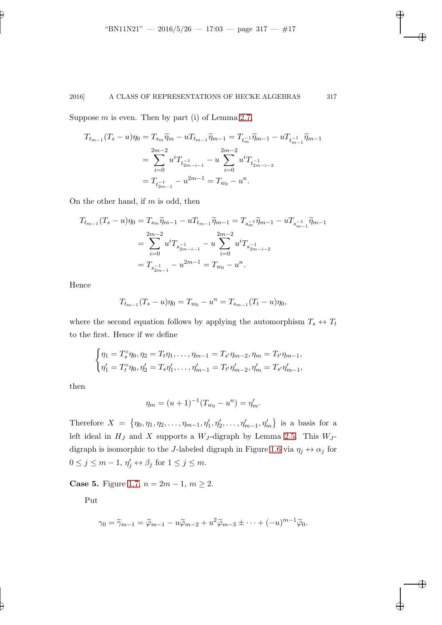Suppose  $m$  is even. Then by part (i) of Lemma [2.7,](#page-13-1)

$$
T_{t_{m-1}}(T_s - u)\eta_0 = T_{s_m}\widetilde{\eta}_m - uT_{t_{m-1}}\widetilde{\eta}_{m-1} = T_{t_m^{-1}}\widetilde{\eta}_{m-1} - uT_{t_{m-1}^{-1}}\widetilde{\eta}_{m-1}
$$
  
= 
$$
\sum_{i=0}^{2m-2} u^i T_{t_{2m-i-1}^{-1}} - u\sum_{i=0}^{2m-2} u^i T_{t_{2m-i-2}^{-1}}
$$
  
= 
$$
T_{t_{2m-1}^{-1}} - u^{2m-1} = T_{w_0} - u^n.
$$

On the other hand, if  $m$  is odd, then

$$
T_{t_{m-1}}(T_s - u)\eta_0 = T_{s_m}\widetilde{\eta}_{m-1} - uT_{t_{m-1}}\widetilde{\eta}_{m-1} = T_{s_m^{-1}}\widetilde{\eta}_{m-1} - uT_{s_{m-1}^{-1}}\widetilde{\eta}_{m-1}
$$
  
= 
$$
\sum_{i=0}^{2m-2} u^i T_{s_{2m-i-1}} - u\sum_{i=0}^{2m-2} u^i T_{s_{2m-i-2}} - T_{s_{2m-1}^{-1}} - u^{2m-1} = T_{w_0} - u^n.
$$

Hence

$$
T_{t_{m-1}}(T_s - u)\eta_0 = T_{w_0} - u^n = T_{s_{m-1}}(T_t - u)\eta_0,
$$

where the second equation follows by applying the automorphism  $T_s\leftrightarrow T_t$ to the first. Hence if we define

$$
\begin{cases}\n\eta_1 = T_s^\circ \eta_0, \eta_2 = T_t \eta_1, \dots, \eta_{m-1} = T_{s'} \eta_{m-2}, \eta_m = T_{t'} \eta_{m-1}, \\
\eta_1' = T_t^\circ \eta_0, \eta_2' = T_s \eta_1', \dots, \eta_{m-1}' = T_{t'} \eta_{m-2}', \eta_m' = T_{s'} \eta_{m-1}',\n\end{cases}
$$

then

$$
\eta_m = (u+1)^{-1} (T_{w_0} - u^n) = \eta'_m.
$$

Therefore  $X = \{\eta_0, \eta_1, \eta_2, \ldots, \eta_{m-1}, \eta'_1, \eta'_2, \ldots, \eta'_{m-1}, \eta'_m\}$  is a basis for a left ideal in  $H_J$  and X supports a  $W_J$ -digraph by Lemma [2.5.](#page-11-0) This  $W_J$ -digraph is isomorphic to the J-labeled digraph in Figure [1.6](#page-4-3) via  $\eta_j \leftrightarrow \alpha_j$  for  $0 \leq j \leq m-1, \eta'_j \leftrightarrow \beta_j \text{ for } 1 \leq j \leq m.$ 

**Case 5.** Figure [1.7,](#page-4-4)  $n = 2m - 1$ ,  $m \ge 2$ .

Put

$$
\gamma_0 = \widetilde{\gamma}_{m-1} = \widetilde{\varphi}_{m-1} - u\widetilde{\varphi}_{m-2} + u^2 \widetilde{\varphi}_{m-3} \pm \cdots + (-u)^{m-1} \widetilde{\varphi}_0.
$$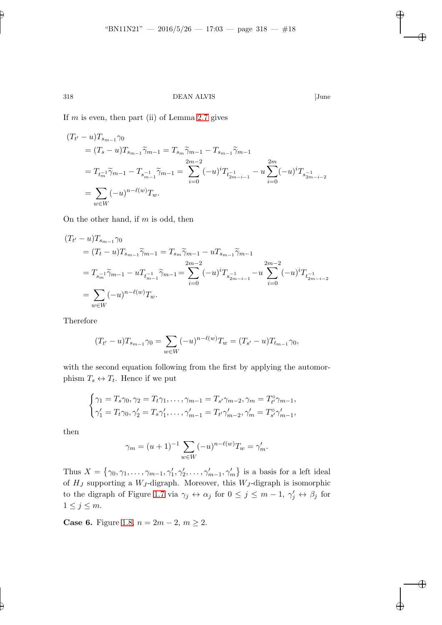If  $m$  is even, then part (ii) of Lemma [2.7](#page-13-1) gives

$$
(T_{t'} - u)T_{s_{m-1}}\gamma_0
$$
  
=  $(T_s - u)T_{s_{m-1}}\tilde{\gamma}_{m-1} = T_{s_m}\tilde{\gamma}_{m-1} - T_{s_{m-1}}\tilde{\gamma}_{m-1}$   
=  $T_{t_m^{-1}}\tilde{\gamma}_{m-1} - T_{s_{m-1}^{-1}}\tilde{\gamma}_{m-1} = \sum_{i=0}^{2m-2} (-u)^i T_{t_{2m-i-1}^{-1}} - u \sum_{i=0}^{2m} (-u)^i T_{s_{2m-i-2}^{-1}}$   
=  $\sum_{w \in W} (-u)^{n-\ell(w)} T_w$ .

On the other hand, if  $m$  is odd, then

$$
(T_{t'} - u)T_{s_{m-1}}\gamma_0
$$
  
=  $(T_t - u)T_{s_{m-1}}\tilde{\gamma}_{m-1} = T_{s_m}\tilde{\gamma}_{m-1} - uT_{s_{m-1}}\tilde{\gamma}_{m-1}$   
=  $T_{s_m^{-1}}\tilde{\gamma}_{m-1} - uT_{t_{m-1}^{-1}}\tilde{\gamma}_{m-1} = \sum_{i=0}^{2m-2} (-u)^i T_{s_{2m-i-1}^{-1}} - u\sum_{i=0}^{2m-2} (-u)^i T_{t_{2m-i-2}^{-1}}$   
=  $\sum_{w \in W} (-u)^{n-\ell(w)}T_w$ .

Therefore

$$
(T_{t'} - u)T_{s_{m-1}}\gamma_0 = \sum_{w \in W} (-u)^{n-\ell(w)}T_w = (T_{s'} - u)T_{t_{m-1}}\gamma_0,
$$

with the second equation following from the first by applying the automorphism  $T_s \leftrightarrow T_t$ . Hence if we put

$$
\begin{cases}\n\gamma_1 = T_s \gamma_0, \gamma_2 = T_t \gamma_1, \dots, \gamma_{m-1} = T_{s'} \gamma_{m-2}, \gamma_m = T_{t'}^{\circ} \gamma_{m-1}, \\
\gamma_1' = T_t \gamma_0, \gamma_2' = T_s \gamma_1', \dots, \gamma_{m-1}' = T_{t'} \gamma_{m-2}', \gamma_m' = T_{s'}^{\circ} \gamma_{m-1}',\n\end{cases}
$$

then

$$
\gamma_m = (u+1)^{-1} \sum_{w \in W} (-u)^{n-\ell(w)} T_w = \gamma'_m.
$$

Thus  $X = \{\gamma_0, \gamma_1, \dots, \gamma_{m-1}, \gamma'_1, \gamma'_2, \dots, \gamma'_{m-1}, \gamma'_m\}$  is a basis for a left ideal of  $H_J$  supporting a  $W_J$ -digraph. Moreover, this  $W_J$ -digraph is isomorphic to the digraph of Figure [1.7](#page-4-4) via  $\gamma_j \leftrightarrow \alpha_j$  for  $0 \leq j \leq m-1$ ,  $\gamma'_j \leftrightarrow \beta_j$  for  $1 \leq j \leq m$ .

**Case 6.** Figure [1.8,](#page-4-5)  $n = 2m - 2$ ,  $m \ge 2$ .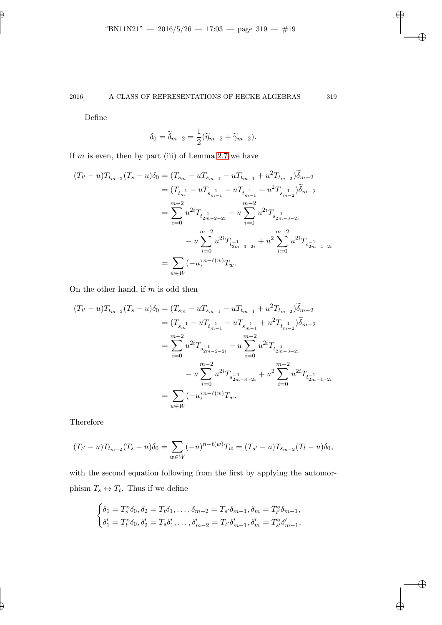Define

$$
\delta_0 = \widetilde{\delta}_{m-2} = \frac{1}{2}(\widetilde{\eta}_{m-2} + \widetilde{\gamma}_{m-2}).
$$

If  $m$  is even, then by part (iii) of Lemma [2.7](#page-13-1) we have

$$
(T_{t'} - u)T_{t_{m-2}}(T_s - u)\delta_0 = (T_{s_m} - uT_{s_{m-1}} - uT_{t_{m-1}} + u^2T_{t_{m-2}})\delta_{m-2}
$$
  
\n
$$
= (T_{t_m} - uT_{s_{m-1}} - uT_{t_{m-1}} + u^2T_{s_{m-2}})\delta_{m-2}
$$
  
\n
$$
= \sum_{i=0}^{m-2} u^{2i}T_{t_{2m-2-2i}} - u\sum_{i=0}^{m-2} u^{2i}T_{s_{2m-3-2i}} - u\sum_{i=0}^{m-2} u^{2i}T_{s_{2m-4-2i}} - u\sum_{i=0}^{m-2} u^{2i}T_{t_{2m-3-2i}} + u^2\sum_{i=0}^{m-2} u^{2i}T_{s_{2m-4-2i}} - \sum_{w \in W} (-u)^{n-\ell(w)}T_w.
$$

On the other hand, if  $m$  is odd then

$$
(T_{t'} - u)T_{t_{m-2}}(T_s - u)\delta_0 = (T_{s_m} - uT_{s_{m-1}} - uT_{t_{m-1}} + u^2T_{t_{m-2}})\tilde{\delta}_{m-2}
$$
  
\n
$$
= (T_{s_m} - uT_{t_{m-1}} - uT_{s_{m-1}} + u^2T_{t_{m-2}})\tilde{\delta}_{m-2}
$$
  
\n
$$
= \sum_{i=0}^{m-2} u^{2i}T_{s_{2m-2-2i}} - u\sum_{i=0}^{m-2} u^{2i}T_{t_{2m-3-2i}} - u^2T_{t_{2m-3-2i}} + u^2T_{t_{2m-4-2i}}.
$$
  
\n
$$
- u\sum_{i=0}^{m-2} u^{2i}T_{s_{2m-3-2i}} + u^2\sum_{i=0}^{m-2} u^{2i}T_{t_{2m-4-2i}}.
$$
  
\n
$$
= \sum_{w \in W} (-u)^{n-\ell(w)}T_w.
$$

Therefore

$$
(T_{t'} - u)T_{t_{m-2}}(T_s - u)\delta_0 = \sum_{w \in W} (-u)^{n-\ell(w)}T_w = (T_{s'} - u)T_{s_{m-2}}(T_t - u)\delta_0,
$$

with the second equation following from the first by applying the automorphism  $T_s \leftrightarrow T_t$ . Thus if we define

$$
\begin{cases} \delta_1 = T_s^{\circ} \delta_0, \delta_2 = T_t \delta_1, \dots, \delta_{m-2} = T_{s'} \delta_{m-1}, \delta_m = T_{t'}^{\circ} \delta_{m-1}, \\ \delta_1' = T_t^{\circ} \delta_0, \delta_2' = T_s \delta_1', \dots, \delta_{m-2}' = T_{t'} \delta_{m-1}', \delta_m' = T_{s'}^{\circ} \delta_{m-1}', \end{cases}
$$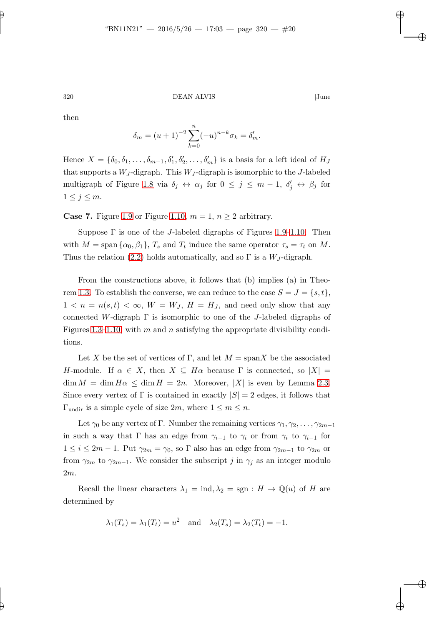then

$$
\delta_m = (u+1)^{-2} \sum_{k=0}^n (-u)^{n-k} \sigma_k = \delta'_m.
$$

Hence  $X = \{\delta_0, \delta_1, \ldots, \delta_{m-1}, \delta'_1, \delta'_2, \ldots, \delta'_m\}$  is a basis for a left ideal of  $H_J$ that supports a  $W_J$ -digraph. This  $W_J$ -digraph is isomorphic to the J-labeled multigraph of Figure [1.8](#page-4-5) via  $\delta_j \leftrightarrow \alpha_j$  for  $0 \leq j \leq m-1$ ,  $\delta'_j \leftrightarrow \beta_j$  for  $1\leq j\leq m$ .

**Case 7.** Figure [1.9](#page-5-1) or Figure [1.10,](#page-5-0)  $m = 1$ ,  $n \geq 2$  arbitrary.

Suppose  $\Gamma$  is one of the *J*-labeled digraphs of Figures [1.9–](#page-5-1)[1.10.](#page-5-0) Then with  $M = \text{span} \{\alpha_0, \beta_1\}, T_s$  and  $T_t$  induce the same operator  $\tau_s = \tau_t$  on M. Thus the relation [\(2.2\)](#page-7-2) holds automatically, and so  $\Gamma$  is a  $W_J$ -digraph.

From the constructions above, it follows that (b) implies (a) in Theo-rem [1.3.](#page-3-3) To establish the converse, we can reduce to the case  $S = J = \{s, t\},\$  $1 < n = n(s,t) < \infty$ ,  $W = W_J$ ,  $H = H_J$ , and need only show that any connected W-digraph  $\Gamma$  is isomorphic to one of the J-labeled digraphs of Figures [1.3](#page-4-0)[–1.10,](#page-5-0) with m and n satisfying the appropriate divisibility conditions.

Let X be the set of vertices of Γ, and let  $M = \text{span} X$  be the associated H-module. If  $\alpha \in X$ , then  $X \subseteq H\alpha$  because  $\Gamma$  is connected, so  $|X| =$  $\dim M = \dim H \alpha \leq \dim H = 2n$ . Moreover, |X| is even by Lemma [2.3.](#page-9-1) Since every vertex of  $\Gamma$  is contained in exactly  $|S| = 2$  edges, it follows that  $\Gamma_{\text{undir}}$  is a simple cycle of size  $2m$ , where  $1 \leq m \leq n$ .

Let  $\gamma_0$  be any vertex of Γ. Number the remaining vertices  $\gamma_1, \gamma_2, \ldots, \gamma_{2m-1}$ in such a way that Γ has an edge from  $\gamma_{i-1}$  to  $\gamma_i$  or from  $\gamma_i$  to  $\gamma_{i-1}$  for  $1 \leq i \leq 2m-1$ . Put  $\gamma_{2m} = \gamma_0$ , so  $\Gamma$  also has an edge from  $\gamma_{2m-1}$  to  $\gamma_{2m}$  or from  $\gamma_{2m}$  to  $\gamma_{2m-1}$ . We consider the subscript j in  $\gamma_j$  as an integer modulo 2m.

Recall the linear characters  $\lambda_1 = \text{ind}, \lambda_2 = \text{sgn} : H \to \mathbb{Q}(u)$  of H are determined by

$$
\lambda_1(T_s) = \lambda_1(T_t) = u^2
$$
 and  $\lambda_2(T_s) = \lambda_2(T_t) = -1$ .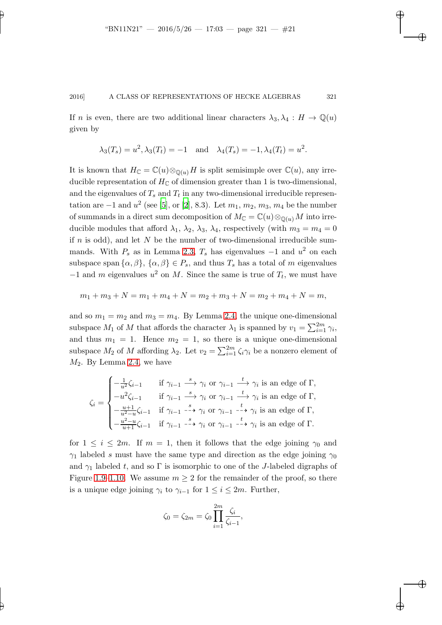If n is even, there are two additional linear characters  $\lambda_3, \lambda_4 : H \to \mathbb{Q}(u)$ given by

$$
\lambda_3(T_s) = u^2, \lambda_3(T_t) = -1
$$
 and  $\lambda_4(T_s) = -1, \lambda_4(T_t) = u^2$ .

It is known that  $H_{\mathbb{C}} = \mathbb{C}(u) \otimes_{\mathbb{Q}(u)} H$  is split semisimple over  $\mathbb{C}(u)$ , any irreducible representation of  $H_{\mathbb{C}}$  of dimension greater than 1 is two-dimensional, and the eigenvalues of  $T_s$  and  $T_t$  in any two-dimensional irreducible representation are  $-1$  and  $u^2$  (see [\[5\]](#page-41-4), or [\[2\]](#page-41-5), 8.3). Let  $m_1, m_2, m_3, m_4$  be the number of summands in a direct sum decomposition of  $M_{\mathbb{C}} = \mathbb{C}(u) \otimes_{\mathbb{O}(u)} M$  into irreducible modules that afford  $\lambda_1$ ,  $\lambda_2$ ,  $\lambda_3$ ,  $\lambda_4$ , respectively (with  $m_3 = m_4 = 0$ if  $n$  is odd), and let  $N$  be the number of two-dimensional irreducible summands. With  $P_s$  as in Lemma [2.3,](#page-9-1)  $T_s$  has eigenvalues  $-1$  and  $u^2$  on each subspace span  $\{\alpha,\beta\},\{\alpha,\beta\} \in P_s$ , and thus  $T_s$  has a total of m eigenvalues  $-1$  and m eigenvalues  $u^2$  on M. Since the same is true of  $T_t$ , we must have

$$
m_1 + m_3 + N = m_1 + m_4 + N = m_2 + m_3 + N = m_2 + m_4 + N = m,
$$

and so  $m_1 = m_2$  and  $m_3 = m_4$ . By Lemma [2.4,](#page-9-0) the unique one-dimensional subspace  $M_1$  of M that affords the character  $\lambda_1$  is spanned by  $v_1 = \sum_{i=1}^{2m} \gamma_i$ , and thus  $m_1 = 1$ . Hence  $m_2 = 1$ , so there is a unique one-dimensional subspace  $M_2$  of M affording  $\lambda_2$ . Let  $v_2 = \sum_{i=1}^{2m} \zeta_i \gamma_i$  be a nonzero element of  $M_2$ . By Lemma [2.4,](#page-9-0) we have

$$
\zeta_i = \begin{cases}\n-\frac{1}{u^2}\zeta_{i-1} & \text{if } \gamma_{i-1} \stackrel{s}{\longrightarrow} \gamma_i \text{ or } \gamma_{i-1} \stackrel{t}{\longrightarrow} \gamma_i \text{ is an edge of } \Gamma, \\
-u^2\zeta_{i-1} & \text{if } \gamma_{i-1} \stackrel{s}{\longrightarrow} \gamma_i \text{ or } \gamma_{i-1} \stackrel{t}{\longrightarrow} \gamma_i \text{ is an edge of } \Gamma, \\
-\frac{u+1}{u^2-u}\zeta_{i-1} & \text{if } \gamma_{i-1} \stackrel{s}{\longrightarrow} \gamma_i \text{ or } \gamma_{i-1} \stackrel{t}{\longrightarrow} \gamma_i \text{ is an edge of } \Gamma, \\
-\frac{u^2-u}{u+1}\zeta_{i-1} & \text{if } \gamma_{i-1} \stackrel{s}{\longrightarrow} \gamma_i \text{ or } \gamma_{i-1} \stackrel{t}{\longrightarrow} \gamma_i \text{ is an edge of } \Gamma.\n\end{cases}
$$

for  $1 \leq i \leq 2m$ . If  $m = 1$ , then it follows that the edge joining  $\gamma_0$  and  $\gamma_1$  labeled s must have the same type and direction as the edge joining  $\gamma_0$ and  $\gamma_1$  labeled t, and so  $\Gamma$  is isomorphic to one of the J-labeled digraphs of Figure [1.9](#page-5-1)[–1.10.](#page-5-0) We assume  $m \geq 2$  for the remainder of the proof, so there is a unique edge joining  $\gamma_i$  to  $\gamma_{i-1}$  for  $1 \leq i \leq 2m$ . Further,

$$
\zeta_0 = \zeta_{2m} = \zeta_0 \prod_{i=1}^{2m} \frac{\zeta_i}{\zeta_{i-1}},
$$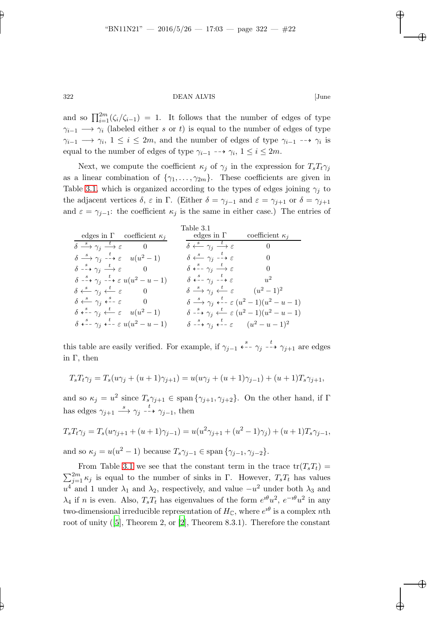and so  $\prod_{i=1}^{2m}(\zeta_i/\zeta_{i-1}) = 1$ . It follows that the number of edges of type  $\gamma_{i-1} \longrightarrow \gamma_i$  (labeled either s or t) is equal to the number of edges of type  $\gamma_{i-1} \longrightarrow \gamma_i, 1 \leq i \leq 2m$ , and the number of edges of type  $\gamma_{i-1} \dashrightarrow \gamma_i$  is equal to the number of edges of type  $\gamma_{i-1}$  -→  $\gamma_i$ ,  $1 \leq i \leq 2m$ .

Next, we compute the coefficient  $\kappa_j$  of  $\gamma_j$  in the expression for  $T_sT_t\gamma_j$ as a linear combination of  $\{\gamma_1, \ldots, \gamma_{2m}\}$ . These coefficients are given in Table [3.1,](#page-21-0) which is organized according to the types of edges joining  $\gamma_i$  to the adjacent vertices  $\delta$ ,  $\varepsilon$  in  $\Gamma$ . (Either  $\delta = \gamma_{j-1}$  and  $\varepsilon = \gamma_{j+1}$  or  $\delta = \gamma_{j+1}$ and  $\varepsilon = \gamma_{j-1}$ : the coefficient  $\kappa_j$  is the same in either case.) The entries of

<span id="page-21-0"></span>

|                                                                                                          | Table 3.1                                                                                                       |                                                                                                                 |
|----------------------------------------------------------------------------------------------------------|-----------------------------------------------------------------------------------------------------------------|-----------------------------------------------------------------------------------------------------------------|
| edges in $\Gamma$ coefficient $\kappa_i$                                                                 | edges in $\Gamma$ coefficient $\kappa_j$                                                                        |                                                                                                                 |
| $\delta \stackrel{s}{\longrightarrow} \gamma_i \stackrel{t}{\longrightarrow} \varepsilon$ 0              | $\delta \stackrel{s}{\longleftarrow} \gamma_i \stackrel{t}{\longrightarrow} \varepsilon$                        | $\sim$ 0                                                                                                        |
| $\delta \stackrel{s}{\longrightarrow} \gamma_i \stackrel{t}{\dashrightarrow} \varepsilon \quad u(u^2-1)$ | $\delta \stackrel{s}{\longleftarrow} \gamma_i \stackrel{t}{\dashrightarrow} \varepsilon$                        | $\overline{0}$                                                                                                  |
| $\delta \stackrel{s}{\dashrightarrow} \gamma_i \stackrel{t}{\longrightarrow} \varepsilon$ 0              | $\delta \stackrel{s}{\dashleftarrow} \gamma_i \stackrel{t}{\longrightarrow} \varepsilon$                        | $\overline{0}$                                                                                                  |
| $\delta \stackrel{s}{\dashrightarrow} \gamma_i \stackrel{t}{\dashrightarrow} \varepsilon u(u^2-u-1)$     | $\delta \stackrel{s}{\leftarrow} - \gamma_i \stackrel{t}{\dashrightarrow} \varepsilon$ $u^2$                    |                                                                                                                 |
| $\delta \stackrel{s}{\longleftarrow} \gamma_i \stackrel{t}{\longleftarrow} \varepsilon \qquad 0$         | $\delta \stackrel{s}{\longrightarrow} \gamma_i \stackrel{t}{\longleftarrow} \varepsilon \qquad (u^2-1)^2$       |                                                                                                                 |
| $\delta \stackrel{s}{\longleftarrow} \gamma_i \stackrel{s}{\longleftarrow} \varepsilon \qquad 0$         |                                                                                                                 | $\delta \stackrel{s}{\longrightarrow} \gamma_i \stackrel{t}{\longleftarrow} \varepsilon (u^2-1)(u^2-u-1)$       |
| $\delta \leftarrow^s - \gamma_i \leftarrow^t \varepsilon \quad u(u^2 - 1)$                               |                                                                                                                 | $\delta \stackrel{s}{\dashrightarrow} \gamma_i \stackrel{t}{\longleftarrow} \varepsilon (u^2 - 1)(u^2 - u - 1)$ |
| $\delta \stackrel{s}{\dashleftarrow} \gamma_i \stackrel{t}{\dashleftarrow} \varepsilon u(u^2 - u - 1)$   | $\delta \stackrel{s}{\dashrightarrow} \gamma_i \stackrel{t}{\dashleftarrow} \varepsilon \qquad (u^2 - u - 1)^2$ |                                                                                                                 |

this table are easily verified. For example, if  $\gamma_{j-1} \stackrel{s}{\dashleftarrow} \gamma_j \stackrel{t}{\dashrightarrow} \gamma_{j+1}$  are edges in Γ, then

$$
T_s T_t \gamma_j = T_s(u\gamma_j + (u+1)\gamma_{j+1}) = u(u\gamma_j + (u+1)\gamma_{j-1}) + (u+1)T_s \gamma_{j+1},
$$

and so  $\kappa_j = u^2$  since  $T_s \gamma_{j+1} \in \text{span}\{\gamma_{j+1}, \gamma_{j+2}\}.$  On the other hand, if  $\Gamma$ has edges  $\gamma_{j+1} \stackrel{s}{\longrightarrow} \gamma_j \stackrel{t}{\dashrightarrow} \gamma_{j-1}$ , then

$$
T_s T_t \gamma_j = T_s (u \gamma_{j+1} + (u+1) \gamma_{j-1}) = u(u^2 \gamma_{j+1} + (u^2 - 1) \gamma_j) + (u+1) T_s \gamma_{j-1},
$$

and so  $\kappa_j = u(u^2 - 1)$  because  $T_s \gamma_{j-1} \in \text{span}\{\gamma_{j-1}, \gamma_{j-2}\}.$ 

From Table [3.1](#page-21-0) we see that the constant term in the trace  $tr(T_sT_t)$  =  $\sum_{j=1}^{2m} \kappa_j$  is equal to the number of sinks in  $\Gamma$ . However,  $T_sT_t$  has values  $u^4$  and 1 under  $\lambda_1$  and  $\lambda_2$ , respectively, and value  $-u^2$  under both  $\lambda_3$  and  $\lambda_4$  if *n* is even. Also,  $T_s T_t$  has eigenvalues of the form  $e^{i\theta} u^2$ ,  $e^{-i\theta} u^2$  in any two-dimensional irreducible representation of  $H_{\mathbb{C}}$ , where  $e^{i\theta}$  is a complex nth root of unity([\[5\]](#page-41-4), Theorem 2, or [\[2\]](#page-41-5), Theorem 8.3.1). Therefore the constant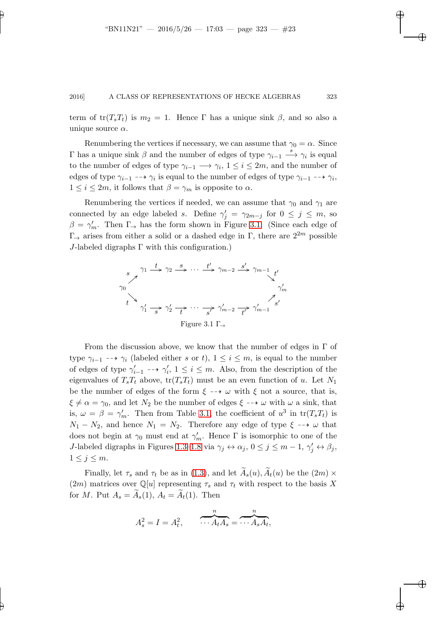term of  $tr(T_sT_t)$  is  $m_2 = 1$ . Hence Γ has a unique sink  $\beta$ , and so also a unique source  $\alpha$ .

Renumbering the vertices if necessary, we can assume that  $\gamma_0 = \alpha$ . Since  $Γ$  has a unique sink  $β$  and the number of edges of type  $γ_{i-1}$   $\stackrel{s}{\longrightarrow} γ_i$  is equal to the number of edges of type  $\gamma_{i-1} \longrightarrow \gamma_i$ ,  $1 \leq i \leq 2m$ , and the number of edges of type  $\gamma_{i-1}$  -→  $\gamma_i$  is equal to the number of edges of type  $\gamma_{i-1}$  -→  $\gamma_i$ ,  $1 \leq i \leq 2m$ , it follows that  $\beta = \gamma_m$  is opposite to  $\alpha$ .

Renumbering the vertices if needed, we can assume that  $\gamma_0$  and  $\gamma_1$  are connected by an edge labeled s. Define  $\gamma'_j = \gamma_{2m-j}$  for  $0 \leq j \leq m$ , so  $\beta = \gamma'_m$ . Then  $\Gamma_{\rightarrow}$  has the form shown in Figure [3.1.](#page-22-0) (Since each edge of Γ<sup>→</sup> arises from either a solid or a dashed edge in Γ, there are 22<sup>m</sup> possible  $J$ -labeled digraphs  $\Gamma$  with this configuration.)

<span id="page-22-0"></span>

From the discussion above, we know that the number of edges in  $\Gamma$  of type  $\gamma_{i-1}$  -→  $\gamma_i$  (labeled either s or t),  $1 \leq i \leq m$ , is equal to the number of edges of type  $\gamma'_{i-1} \dashrightarrow \gamma'_{i}$ ,  $1 \leq i \leq m$ . Also, from the description of the eigenvalues of  $T_sT_t$  above,  $tr(T_sT_t)$  must be an even function of u. Let  $N_1$ be the number of edges of the form  $\xi \dashrightarrow \omega$  with  $\xi$  not a source, that is,  $\xi \neq \alpha = \gamma_0$ , and let  $N_2$  be the number of edges  $\xi \rightarrow \omega$  with  $\omega$  a sink, that is,  $\omega = \beta = \gamma'_m$ . Then from Table [3.1,](#page-21-0) the coefficient of  $u^3$  in  $\text{tr}(T_sT_t)$  is  $N_1 - N_2$ , and hence  $N_1 = N_2$ . Therefore any edge of type  $\xi \rightarrow \omega$  that does not begin at  $\gamma_0$  must end at  $\gamma'_m$ . Hence  $\Gamma$  is isomorphic to one of the J-labeled digraphs in Figures [1.3](#page-4-0)[–1.8](#page-4-5) via  $\gamma_j \leftrightarrow \alpha_j$ ,  $0 \le j \le m-1$ ,  $\gamma'_j \leftrightarrow \beta_j$ ,  $1 \leq j \leq m$ .

Finally, let  $\tau_s$  and  $\tau_t$  be as in [\(1.3\)](#page-3-4), and let  $\widetilde{A}_s(u)$ ,  $\widetilde{A}_t(u)$  be the  $(2m) \times$  $(2m)$  matrices over  $\mathbb{Q}[u]$  representing  $\tau_s$  and  $\tau_t$  with respect to the basis X for M. Put  $A_s = \widetilde{A}_s(1), A_t = \widetilde{A}_t(1)$ . Then

$$
A_s^2 = I = A_t^2, \qquad \overbrace{\cdots A_t A_s}^n = \overbrace{\cdots A_s A_t}^n,
$$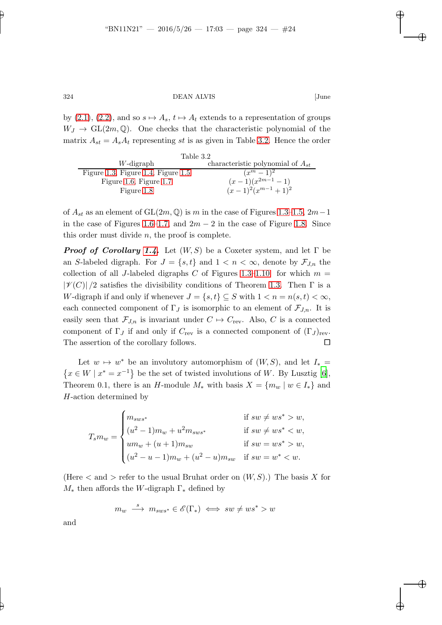by  $(2.1), (2.2),$  $(2.1), (2.2),$  $(2.1), (2.2),$  and so  $s \mapsto A_s, t \mapsto A_t$  extends to a representation of groups  $W_J \to GL(2m, \mathbb{Q})$ . One checks that the characteristic polynomial of the matrix  $A_{st} = A_s A_t$  representing st is as given in Table [3.2.](#page-23-0) Hence the order

<span id="page-23-0"></span>

| Table 3.2                          |                                       |  |
|------------------------------------|---------------------------------------|--|
| W-digraph                          | characteristic polynomial of $A_{st}$ |  |
| Figure 1.3, Figure 1.4, Figure 1.5 | $(x^m-1)^2$                           |  |
| Figure 1.6, Figure 1.7             | $(x-1)(x^{2m-1}-1)$                   |  |
| Figure 1.8                         | $(x-1)^2(x^{m-1}+1)^2$                |  |

of  $A_{st}$  as an element of GL(2m, Q) is m in the case of Figures [1.3–](#page-4-0)[1.5,](#page-4-2) 2m – 1 in the case of Figures [1.6](#page-4-3)[–1.7,](#page-4-4) and  $2m-2$  in the case of Figure [1.8.](#page-4-5) Since this order must divide  $n$ , the proof is complete.

**Proof of Corollary [1.4.](#page-5-4)** Let  $(W, S)$  be a Coxeter system, and let  $\Gamma$  be an S-labeled digraph. For  $J = \{s, t\}$  and  $1 < n < \infty$ , denote by  $\mathcal{F}_{J,n}$  the collection of all J-labeled digraphs C of Figures [1.3](#page-4-0)[–1.10](#page-5-0) for which  $m =$  $|\mathscr{V}(C)|/2$  satisfies the divisibility conditions of Theorem [1.3.](#page-3-3) Then  $\Gamma$  is a W-digraph if and only if whenever  $J = \{s, t\} \subseteq S$  with  $1 < n = n(s, t) < \infty$ , each connected component of  $\Gamma_J$  is isomorphic to an element of  $\mathcal{F}_{J,n}$ . It is easily seen that  $\mathcal{F}_{J,n}$  is invariant under  $C \mapsto C_{\text{rev}}$ . Also, C is a connected component of  $\Gamma_J$  if and only if  $C_{\text{rev}}$  is a connected component of  $(\Gamma_J)_{\text{rev}}$ . The assertion of the corollary follows.

Let  $w \mapsto w^*$  be an involutory automorphism of  $(W, S)$ , and let  $I_* =$  $\{x \in W \mid x^* = x^{-1}\}\$ be the set of twisted involutions of W. By Lusztig [\[6](#page-41-1)], Theorem 0.1, there is an H-module  $M_*$  with basis  $X = \{m_w \mid w \in I_*\}$  and H-action determined by

$$
T_{s}m_{w} = \begin{cases} m_{sws^{*}} & \text{if } sw \neq ws^{*} > w, \\ (u^{2} - 1)m_{w} + u^{2}m_{sws^{*}} & \text{if } sw \neq ws^{*} < w, \\ um_{w} + (u + 1)m_{sw} & \text{if } sw = ws^{*} > w, \\ (u^{2} - u - 1)m_{w} + (u^{2} - u)m_{sw} & \text{if } sw = w^{*} < w. \end{cases}
$$

(Here  $\lt$  and  $gt$  refer to the usual Bruhat order on  $(W, S)$ .) The basis X for  $M_*$  then affords the W-digraph  $\Gamma_*$  defined by

$$
m_w \stackrel{s}{\longrightarrow} m_{sws^*} \in \mathscr{E}(\Gamma_*) \iff sw \neq ws^* > w
$$

and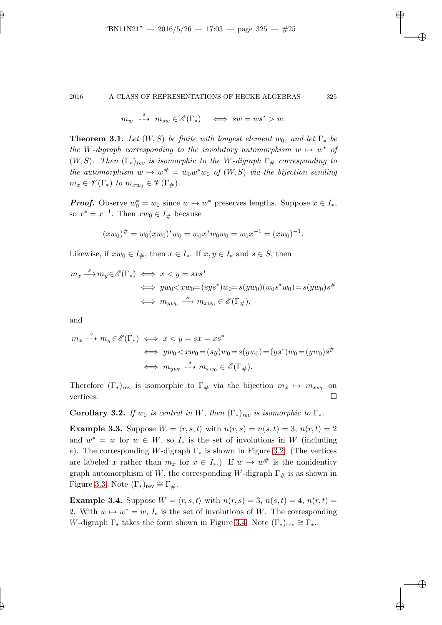$$
m_w \xrightarrow{s} m_{sw} \in \mathscr{E}(\Gamma_*) \iff sw = ws^* > w.
$$

<span id="page-24-0"></span>**Theorem 3.1.** Let  $(W, S)$  be finite with longest element w<sub>0</sub>, and let  $\Gamma_*$  be the W-digraph corresponding to the involutory automorphism  $w \mapsto w^*$  of  $(W, S)$ . Then  $(\Gamma_*)_{rev}$  is isomorphic to the W-digraph  $\Gamma_{\#}$  corresponding to the automorphism  $w \mapsto w^{\#} = w_0w^*w_0$  of  $(W, S)$  via the bijection sending  $m_x \in \mathscr{V}(\Gamma_*)$  to  $m_{xw_0} \in \mathscr{V}(\Gamma_*)$ .

**Proof.** Observe  $w_0^* = w_0$  since  $w \mapsto w^*$  preserves lengths. Suppose  $x \in I_*,$ so  $x^* = x^{-1}$ . Then  $xw_0 \in I_{\#}$  because

$$
(xw_0)^{\#} = w_0(xw_0)^* w_0 = w_0 x^* w_0 w_0 = w_0 x^{-1} = (xw_0)^{-1}.
$$

Likewise, if  $xw_0 \in I_{\#}$ , then  $x \in I_*$ . If  $x, y \in I_*$  and  $s \in S$ , then

$$
m_x \xrightarrow{s} m_y \in \mathscr{E}(\Gamma_*) \iff x < y = sxs^*
$$
\n
$$
\iff yw_0 < xw_0 = (sys^*)w_0 = s(yw_0)(w_0s^*w_0) = s(yw_0)s^{\#}
$$
\n
$$
\iff m_{yw_0} \xrightarrow{s} m_{xw_0} \in \mathscr{E}(\Gamma_{\#}),
$$

and

$$
m_x \xrightarrow{s} m_y \in \mathscr{E}(\Gamma_*) \iff x < y = sx = xs^*
$$
\n
$$
\iff yw_0 < xw_0 = (sy)w_0 = s(yw_0) = (ys^*)w_0 = (yw_0)s^{\#}
$$
\n
$$
\iff m_{yw_0} \xrightarrow{s} m_{xw_0} \in \mathscr{E}(\Gamma_{\#}).
$$

Therefore  $(\Gamma_*)_{\text{rev}}$  is isomorphic to  $\Gamma_\#$  via the bijection  $m_x \mapsto m_{xw_0}$  on vertices.  $\Box$ 

Corollary 3.2. If  $w_0$  is central in W, then  $(\Gamma_*)_{rev}$  is isomorphic to  $\Gamma_*$ .

**Example 3.3.** Suppose  $W = \langle r, s, t \rangle$  with  $n(r, s) = n(s, t) = 3$ ,  $n(r, t) = 2$ and  $w^* = w$  for  $w \in W$ , so  $I_*$  is the set of involutions in W (including e). The corresponding W-digraph  $\Gamma_*$  is shown in Figure [3.2.](#page-25-0) (The vertices are labeled x rather than  $m_x$  for  $x \in I_*$ . If  $w \mapsto w^{\#}$  is the nonidentity graph automorphism of W, the corresponding W-digraph  $\Gamma_{\#}$  is as shown in Figure [3.3.](#page-25-1) Note  $(\Gamma_*)_{\text{rev}} \cong \Gamma_{\#}.$ 

**Example 3.4.** Suppose  $W = \langle r, s, t \rangle$  with  $n(r, s) = 3$ ,  $n(s, t) = 4$ ,  $n(r, t) =$ 2. With  $w \mapsto w^* = w$ ,  $I_*$  is the set of involutions of W. The corresponding W-digraph  $\Gamma_*$  takes the form shown in Figure [3.4.](#page-26-0) Note  $(\Gamma_*)_{rev} \cong \Gamma_*$ .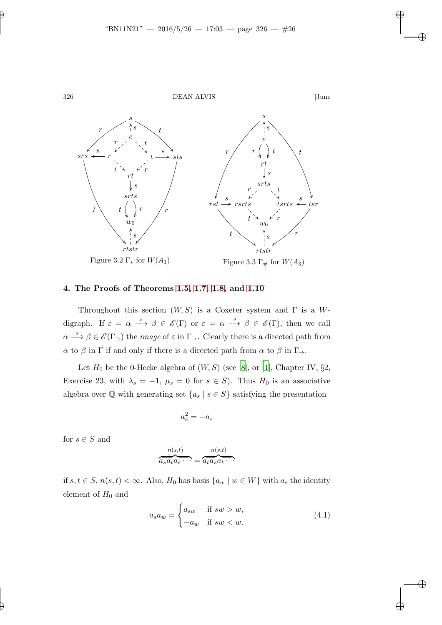

# <span id="page-25-0"></span>4. The Proofs of Theorems [1.5,](#page-5-3) [1.7,](#page-6-0) [1.8,](#page-6-2) and [1.10](#page-6-3)

Throughout this section  $(W, S)$  is a Coxeter system and  $\Gamma$  is a Wdigraph. If  $\varepsilon = \alpha \stackrel{s}{\longrightarrow} \beta \in \mathscr{E}(\Gamma)$  or  $\varepsilon = \alpha \stackrel{s}{\dashrightarrow} \beta \in \mathscr{E}(\Gamma)$ , then we call  $\alpha \stackrel{s}{\longrightarrow} \beta \in \mathscr{E}(\Gamma)$  the *image* of  $\varepsilon$  in  $\Gamma \rightarrow$ . Clearly there is a directed path from  $\alpha$  to  $\beta$  in  $\Gamma$  if and only if there is a directed path from  $\alpha$  to  $\beta$  in  $\Gamma_{\rightarrow}$ .

Let  $H_0$  be the 0-Hecke algebra of  $(W, S)$  (see [\[8](#page-41-6)], or [\[1\]](#page-40-0), Chapter IV, §2, Exercise 23, with  $\lambda_s = -1$ ,  $\mu_s = 0$  for  $s \in S$ ). Thus  $H_0$  is an associative algebra over  $\mathbb Q$  with generating set  $\{a_s \mid s \in S\}$  satisfying the presentation

<span id="page-25-1"></span>
$$
a_s^2 = -a_s
$$

for  $s \in S$  and

$$
\overbrace{a_s a_t a_s \cdots}^{n(s,t)} = \overbrace{a_t a_s a_t \cdots}^{n(s,t)}
$$

if s,  $t \in S$ ,  $n(s,t) < ∞$ . Also,  $H_0$  has basis  $\{a_w \mid w \in W\}$  with  $a_e$  the identity element of  $H_0$  and

<span id="page-25-2"></span>
$$
a_s a_w = \begin{cases} a_{sw} & \text{if } sw > w, \\ -a_w & \text{if } sw < w. \end{cases}
$$
 (4.1)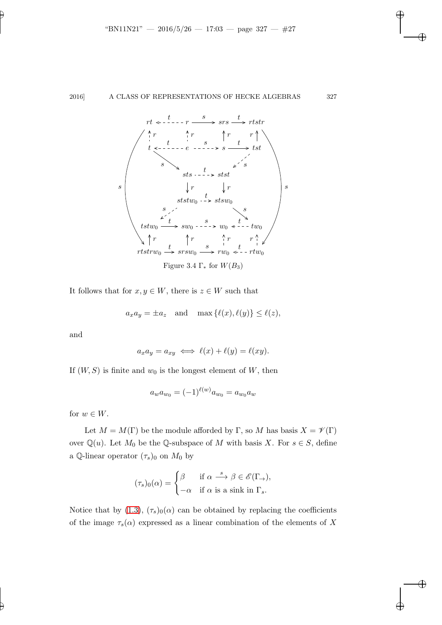

It follows that for  $x, y \in W$ , there is  $z \in W$  such that

<span id="page-26-0"></span>
$$
a_x a_y = \pm a_z
$$
 and  $\max{\ell(x), \ell(y)} \le \ell(z)$ ,

and

$$
a_x a_y = a_{xy} \iff \ell(x) + \ell(y) = \ell(xy).
$$

If  $(W, S)$  is finite and  $w_0$  is the longest element of W, then

$$
a_w a_{w_0} = (-1)^{\ell(w)} a_{w_0} = a_{w_0} a_w
$$

for  $w \in W$ .

Let  $M = M(\Gamma)$  be the module afforded by  $\Gamma$ , so M has basis  $X = \mathscr{V}(\Gamma)$ over  $\mathbb{Q}(u)$ . Let  $M_0$  be the  $\mathbb{Q}$ -subspace of M with basis X. For  $s \in S$ , define a Q-linear operator  $(\tau_s)_0$  on  $M_0$  by

$$
(\tau_s)_0(\alpha) = \begin{cases} \beta & \text{if } \alpha \stackrel{s}{\longrightarrow} \beta \in \mathscr{E}(\Gamma_\to), \\ -\alpha & \text{if } \alpha \text{ is a sink in } \Gamma_s. \end{cases}
$$

Notice that by [\(1.3\)](#page-3-4),  $(\tau_s)_0(\alpha)$  can be obtained by replacing the coefficients of the image  $\tau_s(\alpha)$  expressed as a linear combination of the elements of X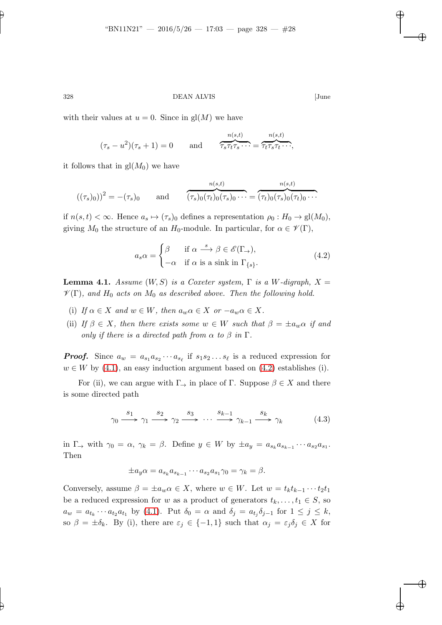with their values at  $u = 0$ . Since in  $gl(M)$  we have

$$
(\tau_s - u^2)(\tau_s + 1) = 0
$$
 and  $\overbrace{\tau_s \tau_t \tau_s \cdots}^{n(s,t)} = \overbrace{\tau_t \tau_s \tau_t \cdots}^{n(s,t)},$ 

it follows that in  $gl(M_0)$  we have

$$
((\tau_s)_0))^2 = -(\tau_s)_0
$$
 and  $\overbrace{(\tau_s)_0(\tau_t)_0(\tau_s)_0 \cdots}^{n(s,t)} = \overbrace{(\tau_t)_0(\tau_s)_0(\tau_t)_0 \cdots}^{n(s,t)}$ 

if  $n(s, t) < \infty$ . Hence  $a_s \mapsto (\tau_s)_0$  defines a representation  $\rho_0 : H_0 \to \text{gl}(M_0)$ , giving  $M_0$  the structure of an  $H_0$ -module. In particular, for  $\alpha \in \mathscr{V}(\Gamma)$ ,

<span id="page-27-0"></span>
$$
a_s \alpha = \begin{cases} \beta & \text{if } \alpha \stackrel{s}{\longrightarrow} \beta \in \mathscr{E}(\Gamma_{\to}), \\ -\alpha & \text{if } \alpha \text{ is a sink in } \Gamma_{\{s\}}. \end{cases}
$$
(4.2)

<span id="page-27-1"></span>**Lemma 4.1.** Assume  $(W, S)$  is a Coxeter system,  $\Gamma$  is a W-digraph,  $X =$  $\mathscr{V}(\Gamma)$ , and  $H_0$  acts on  $M_0$  as described above. Then the following hold.

- (i) If  $\alpha \in X$  and  $w \in W$ , then  $a_w \alpha \in X$  or  $-a_w \alpha \in X$ .
- (ii) If  $\beta \in X$ , then there exists some  $w \in W$  such that  $\beta = \pm a_w \alpha$  if and only if there is a directed path from  $\alpha$  to  $\beta$  in  $\Gamma$ .

**Proof.** Since  $a_w = a_{s_1} a_{s_2} \cdots a_{s_\ell}$  if  $s_1 s_2 \ldots s_\ell$  is a reduced expression for  $w \in W$  by [\(4.1\)](#page-25-2), an easy induction argument based on [\(4.2\)](#page-27-0) establishes (i).

For (ii), we can argue with  $\Gamma_{\to}$  in place of  $\Gamma$ . Suppose  $\beta \in X$  and there is some directed path

$$
\gamma_0 \xrightarrow{s_1} \gamma_1 \xrightarrow{s_2} \gamma_2 \xrightarrow{s_3} \cdots \xrightarrow{s_{k-1}} \gamma_{k-1} \xrightarrow{s_k} \gamma_k \tag{4.3}
$$

in  $\Gamma_{\rightarrow}$  with  $\gamma_0 = \alpha$ ,  $\gamma_k = \beta$ . Define  $y \in W$  by  $\pm a_y = a_{s_k} a_{s_{k-1}} \cdots a_{s_2} a_{s_1}$ . Then

$$
\pm a_y \alpha = a_{s_k} a_{s_{k-1}} \cdots a_{s_2} a_{s_1} \gamma_0 = \gamma_k = \beta.
$$

Conversely, assume  $\beta = \pm a_w \alpha \in X$ , where  $w \in W$ . Let  $w = t_k t_{k-1} \cdots t_2 t_1$ be a reduced expression for w as a product of generators  $t_k, \ldots, t_1 \in S$ , so  $a_w = a_{t_k} \cdots a_{t_2} a_{t_1}$  by [\(4.1\)](#page-25-2). Put  $\delta_0 = \alpha$  and  $\delta_j = a_{t_j} \delta_{j-1}$  for  $1 \leq j \leq k$ , so  $\beta = \pm \delta_k$ . By (i), there are  $\varepsilon_j \in \{-1,1\}$  such that  $\alpha_j = \varepsilon_j \delta_j \in X$  for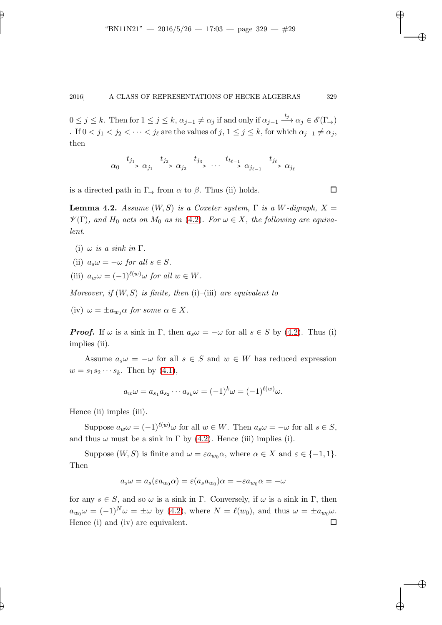$0 \leq j \leq k$ . Then for  $1 \leq j \leq k$ ,  $\alpha_{j-1} \neq \alpha_j$  if and only if  $\alpha_{j-1} \xrightarrow{t_j} \alpha_j \in \mathscr{E}(\Gamma_{\rightarrow})$ . If  $0 < j_1 < j_2 < \cdots < j_\ell$  are the values of  $j, 1 \le j \le k$ , for which  $\alpha_{j-1} \ne \alpha_j$ , then

$$
\alpha_0 \xrightarrow{t_{j_1}} \alpha_{j_1} \xrightarrow{t_{j_2}} \alpha_{j_2} \xrightarrow{t_{j_3}} \cdots \xrightarrow{t_{t_{\ell-1}}} \alpha_{j_{\ell-1}} \xrightarrow{t_{j_\ell}} \alpha_{j_\ell}
$$

<span id="page-28-0"></span>is a directed path in  $\Gamma_{\rightarrow}$  from  $\alpha$  to  $\beta$ . Thus (ii) holds.

**Lemma 4.2.** Assume  $(W, S)$  is a Coxeter system,  $\Gamma$  is a W-digraph,  $X =$  $\mathscr{V}(\Gamma)$ , and  $H_0$  acts on  $M_0$  as in [\(4.2\)](#page-27-0). For  $\omega \in X$ , the following are equivalent.

- (i)  $\omega$  is a sink in  $\Gamma$ .
- (ii)  $a_s \omega = -\omega$  for all  $s \in S$ .

(iii)  $a_w \omega = (-1)^{\ell(w)} \omega$  for all  $w \in W$ .

Moreover, if  $(W, S)$  is finite, then  $(i)$ – $(iii)$  are equivalent to

(iv)  $\omega = \pm a_{w_0} \alpha$  for some  $\alpha \in X$ .

**Proof.** If  $\omega$  is a sink in Γ, then  $a_s \omega = -\omega$  for all  $s \in S$  by [\(4.2\)](#page-27-0). Thus (i) implies (ii).

Assume  $a_s \omega = -\omega$  for all  $s \in S$  and  $w \in W$  has reduced expression  $w = s_1 s_2 \cdots s_k$ . Then by  $(4.1)$ ,

$$
a_w \omega = a_{s_1} a_{s_2} \cdots a_{s_k} \omega = (-1)^k \omega = (-1)^{\ell(w)} \omega.
$$

Hence (ii) imples (iii).

Suppose  $a_w \omega = (-1)^{\ell(w)} \omega$  for all  $w \in W$ . Then  $a_s \omega = -\omega$  for all  $s \in S$ , and thus  $\omega$  must be a sink in  $\Gamma$  by [\(4.2\)](#page-27-0). Hence (iii) implies (i).

Suppose  $(W, S)$  is finite and  $\omega = \varepsilon a_{w_0} \alpha$ , where  $\alpha \in X$  and  $\varepsilon \in \{-1, 1\}$ . Then

$$
a_s\omega = a_s(\varepsilon a_{w_0}\alpha) = \varepsilon (a_s a_{w_0})\alpha = -\varepsilon a_{w_0}\alpha = -\omega
$$

for any  $s \in S$ , and so  $\omega$  is a sink in Γ. Conversely, if  $\omega$  is a sink in Γ, then  $a_{w_0}\omega = (-1)^N \omega = \pm \omega$  by [\(4.2\)](#page-27-0), where  $N = \ell(w_0)$ , and thus  $\omega = \pm a_{w_0}\omega$ . Hence (i) and (iv) are equivalent.  $\Box$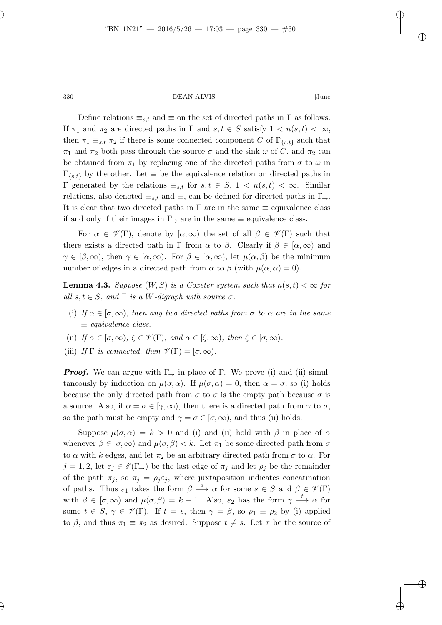Define relations  $\equiv_{s,t}$  and  $\equiv$  on the set of directed paths in  $\Gamma$  as follows. If  $\pi_1$  and  $\pi_2$  are directed paths in  $\Gamma$  and  $s, t \in S$  satisfy  $1 < n(s,t) < \infty$ , then  $\pi_1 \equiv_{s,t} \pi_2$  if there is some connected component C of  $\Gamma_{\{s,t\}}$  such that  $\pi_1$  and  $\pi_2$  both pass through the source  $\sigma$  and the sink  $\omega$  of C, and  $\pi_2$  can be obtained from  $\pi_1$  by replacing one of the directed paths from  $\sigma$  to  $\omega$  in  $\Gamma_{\{s,t\}}$  by the other. Let  $\equiv$  be the equivalence relation on directed paths in Γ generated by the relations  $\equiv_{s,t}$  for  $s,t \in S$ ,  $1 < n(s,t) < ∞$ . Similar relations, also denoted  $\equiv_{s,t}$  and  $\equiv$ , can be defined for directed paths in  $\Gamma_{\rightarrow}$ . It is clear that two directed paths in  $\Gamma$  are in the same  $\equiv$  equivalence class if and only if their images in  $\Gamma_{\rightarrow}$  are in the same  $\equiv$  equivalence class.

For  $\alpha \in \mathscr{V}(\Gamma)$ , denote by  $[\alpha,\infty)$  the set of all  $\beta \in \mathscr{V}(\Gamma)$  such that there exists a directed path in Γ from  $\alpha$  to  $\beta$ . Clearly if  $\beta \in [\alpha, \infty)$  and  $\gamma \in [\beta,\infty)$ , then  $\gamma \in [\alpha,\infty)$ . For  $\beta \in [\alpha,\infty)$ , let  $\mu(\alpha,\beta)$  be the minimum number of edges in a directed path from  $\alpha$  to  $\beta$  (with  $\mu(\alpha, \alpha) = 0$ ).

<span id="page-29-0"></span>**Lemma 4.3.** Suppose  $(W, S)$  is a Coxeter system such that  $n(s, t) < \infty$  for all  $s, t \in S$ , and  $\Gamma$  is a W-digraph with source  $\sigma$ .

- (i) If  $\alpha \in [\sigma, \infty)$ , then any two directed paths from  $\sigma$  to  $\alpha$  are in the same ≡-equivalence class.
- (ii) If  $\alpha \in [\sigma, \infty)$ ,  $\zeta \in \mathscr{V}(\Gamma)$ , and  $\alpha \in [\zeta, \infty)$ , then  $\zeta \in [\sigma, \infty)$ .
- (iii) If  $\Gamma$  is connected, then  $\mathcal{V}(\Gamma) = [\sigma, \infty)$ .

**Proof.** We can argue with  $\Gamma_{\rightarrow}$  in place of  $\Gamma$ . We prove (i) and (ii) simultaneously by induction on  $\mu(\sigma, \alpha)$ . If  $\mu(\sigma, \alpha) = 0$ , then  $\alpha = \sigma$ , so (i) holds because the only directed path from  $\sigma$  to  $\sigma$  is the empty path because  $\sigma$  is a source. Also, if  $\alpha = \sigma \in [\gamma, \infty)$ , then there is a directed path from  $\gamma$  to  $\sigma$ , so the path must be empty and  $\gamma = \sigma \in [\sigma, \infty)$ , and thus (ii) holds.

Suppose  $\mu(\sigma, \alpha) = k > 0$  and (i) and (ii) hold with  $\beta$  in place of  $\alpha$ whenever  $\beta \in [\sigma, \infty)$  and  $\mu(\sigma, \beta) < k$ . Let  $\pi_1$  be some directed path from  $\sigma$ to  $\alpha$  with k edges, and let  $\pi_2$  be an arbitrary directed path from  $\sigma$  to  $\alpha$ . For  $j = 1, 2$ , let  $\varepsilon_j \in \mathscr{E}(\Gamma)$  be the last edge of  $\pi_j$  and let  $\rho_j$  be the remainder of the path  $\pi_j$ , so  $\pi_j = \rho_j \varepsilon_j$ , where juxtaposition indicates concatination of paths. Thus  $\varepsilon_1$  takes the form  $\beta \stackrel{s}{\longrightarrow} \alpha$  for some  $s \in S$  and  $\beta \in \mathscr{V}(\Gamma)$ with  $\beta \in [\sigma, \infty)$  and  $\mu(\sigma, \beta) = k - 1$ . Also,  $\varepsilon_2$  has the form  $\gamma \stackrel{t}{\longrightarrow} \alpha$  for some  $t \in S$ ,  $\gamma \in \mathscr{V}(\Gamma)$ . If  $t = s$ , then  $\gamma = \beta$ , so  $\rho_1 \equiv \rho_2$  by (i) applied to  $\beta$ , and thus  $\pi_1 \equiv \pi_2$  as desired. Suppose  $t \neq s$ . Let  $\tau$  be the source of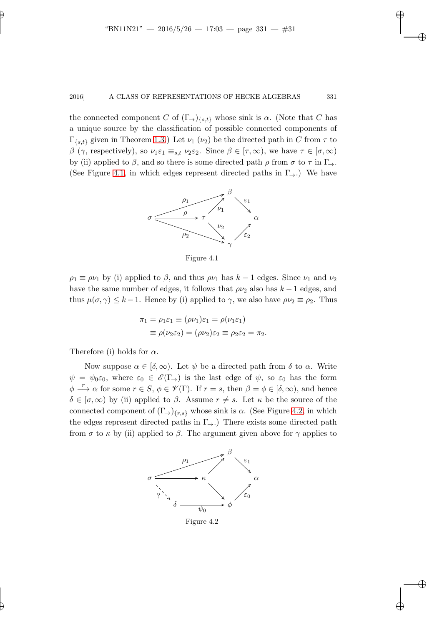the connected component C of  $(\Gamma_{\rightarrow})_{\{s,t\}}$  whose sink is  $\alpha$ . (Note that C has a unique source by the classification of possible connected components of  $\Gamma_{\{s,t\}}$  given in Theorem [1.3.](#page-3-3)) Let  $\nu_1$  ( $\nu_2$ ) be the directed path in C from  $\tau$  to β (γ, respectively), so  $\nu_1 \varepsilon_1 \equiv_{s,t} \nu_2 \varepsilon_2$ . Since  $\beta \in [\tau, \infty)$ , we have  $\tau \in [\sigma, \infty)$ by (ii) applied to  $\beta$ , and so there is some directed path  $\rho$  from  $\sigma$  to  $\tau$  in  $\Gamma_{\rightarrow}$ . (See Figure [4.1,](#page-30-0) in which edges represent directed paths in  $\Gamma_{\rightarrow}$ .) We have



<span id="page-30-0"></span>Figure 4.1

 $\rho_1 \equiv \rho \nu_1$  by (i) applied to  $\beta$ , and thus  $\rho \nu_1$  has  $k-1$  edges. Since  $\nu_1$  and  $\nu_2$ have the same number of edges, it follows that  $\rho \nu_2$  also has  $k-1$  edges, and thus  $\mu(\sigma, \gamma) \leq k - 1$ . Hence by (i) applied to  $\gamma$ , we also have  $\rho \nu_2 \equiv \rho_2$ . Thus

$$
\pi_1 = \rho_1 \varepsilon_1 \equiv (\rho \nu_1) \varepsilon_1 = \rho(\nu_1 \varepsilon_1)
$$
  

$$
\equiv \rho(\nu_2 \varepsilon_2) = (\rho \nu_2) \varepsilon_2 \equiv \rho_2 \varepsilon_2 = \pi_2
$$

Therefore (i) holds for  $\alpha$ .

Now suppose  $\alpha \in [\delta, \infty)$ . Let  $\psi$  be a directed path from  $\delta$  to  $\alpha$ . Write  $\psi = \psi_0 \varepsilon_0$ , where  $\varepsilon_0 \in \mathscr{E}(\Gamma)$  is the last edge of  $\psi$ , so  $\varepsilon_0$  has the form  $\phi \stackrel{r}{\longrightarrow} \alpha$  for some  $r \in S$ ,  $\phi \in \mathcal{V}(\Gamma)$ . If  $r = s$ , then  $\beta = \phi \in [\delta, \infty)$ , and hence  $\delta \in [\sigma, \infty)$  by (ii) applied to  $\beta$ . Assume  $r \neq s$ . Let  $\kappa$  be the source of the connected component of  $(\Gamma_{\rightarrow})_{\{r,s\}}$  whose sink is  $\alpha$ . (See Figure [4.2,](#page-30-1) in which the edges represent directed paths in  $\Gamma_{\rightarrow}$ .) There exists some directed path from  $\sigma$  to  $\kappa$  by (ii) applied to  $\beta$ . The argument given above for  $\gamma$  applies to



<span id="page-30-1"></span>Figure 4.2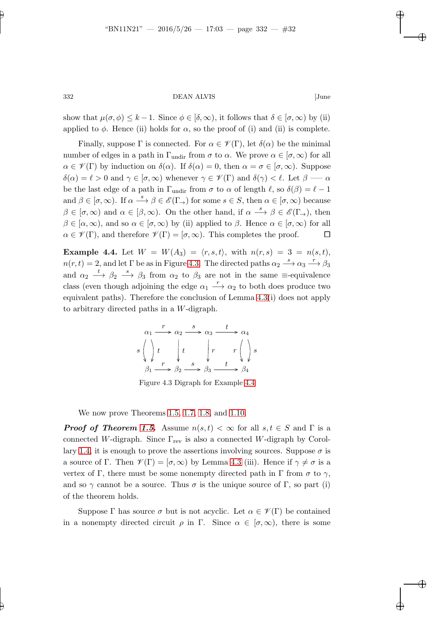show that  $\mu(\sigma, \phi) \leq k - 1$ . Since  $\phi \in [\delta, \infty)$ , it follows that  $\delta \in [\sigma, \infty)$  by (ii) applied to  $\phi$ . Hence (ii) holds for  $\alpha$ , so the proof of (i) and (ii) is complete.

Finally, suppose  $\Gamma$  is connected. For  $\alpha \in \mathscr{V}(\Gamma)$ , let  $\delta(\alpha)$  be the minimal number of edges in a path in  $\Gamma_{\text{undir}}$  from  $\sigma$  to  $\alpha$ . We prove  $\alpha \in [\sigma, \infty)$  for all  $\alpha \in \mathscr{V}(\Gamma)$  by induction on  $\delta(\alpha)$ . If  $\delta(\alpha) = 0$ , then  $\alpha = \sigma \in [\sigma, \infty)$ . Suppose  $\delta(\alpha) = \ell > 0$  and  $\gamma \in [\sigma, \infty)$  whenever  $\gamma \in \mathscr{V}(\Gamma)$  and  $\delta(\gamma) < \ell$ . Let  $\beta \longrightarrow \alpha$ be the last edge of a path in  $\Gamma_{\text{undir}}$  from  $\sigma$  to  $\alpha$  of length  $\ell$ , so  $\delta(\beta) = \ell - 1$ and  $\beta \in [\sigma, \infty)$ . If  $\alpha \stackrel{s}{\longrightarrow} \beta \in \mathscr{E}(\Gamma_{\rightarrow})$  for some  $s \in S$ , then  $\alpha \in [\sigma, \infty)$  because  $\beta \in [\sigma, \infty)$  and  $\alpha \in [\beta, \infty)$ . On the other hand, if  $\alpha \stackrel{s}{\longrightarrow} \beta \in \mathscr{E}(\Gamma_{\rightarrow})$ , then  $\beta \in [\alpha, \infty)$ , and so  $\alpha \in [\sigma, \infty)$  by (ii) applied to  $\beta$ . Hence  $\alpha \in [\sigma, \infty)$  for all  $\alpha \in \mathscr{V}(\Gamma)$ , and therefore  $\mathscr{V}(\Gamma) = [\sigma, \infty)$ . This completes the proof.

<span id="page-31-1"></span>**Example 4.4.** Let  $W = W(A_3) = \langle r, s, t \rangle$ , with  $n(r, s) = 3 = n(s, t)$ ,  $n(r,t) = 2$ , and let  $\Gamma$  be as in Figure [4.3.](#page-31-0) The directed paths  $\alpha_2 \stackrel{s}{\longrightarrow} \alpha_3 \stackrel{r}{\longrightarrow} \beta_3$ and  $\alpha_2 \stackrel{t}{\longrightarrow} \beta_2 \stackrel{s}{\longrightarrow} \beta_3$  from  $\alpha_2$  to  $\beta_3$  are not in the same  $\equiv$ -equivalence class (even though adjoining the edge  $\alpha_1 \stackrel{r}{\longrightarrow} \alpha_2$  to both does produce two equivalent paths). Therefore the conclusion of Lemma [4.3\(](#page-29-0)i) does not apply to arbitrary directed paths in a W-digraph.

$$
\alpha_1 \xrightarrow{r} \alpha_2 \xrightarrow{s} \alpha_3 \xrightarrow{t} \alpha_4
$$
\n
$$
s \left( \begin{array}{c} \cdot \\ \cdot \end{array} \right) t \qquad t \qquad \qquad r \left( \begin{array}{c} \cdot \\ \cdot \end{array} \right) s
$$
\n
$$
\beta_1 \xrightarrow{r} \beta_2 \xrightarrow{s} \beta_3 \xrightarrow{t} \beta_4
$$

<span id="page-31-0"></span>Figure 4.3 Digraph for Example [4.4](#page-31-1)

We now prove Theorems [1.5,](#page-5-3) [1.7,](#page-6-0) [1.8,](#page-6-2) and [1.10.](#page-6-3)

**Proof of Theorem [1.5.](#page-5-3)** Assume  $n(s,t) < \infty$  for all  $s,t \in S$  and  $\Gamma$  is a connected W-digraph. Since  $\Gamma_{\text{rev}}$  is also a connected W-digraph by Corol-lary [1.4,](#page-5-4) it is enough to prove the assertions involving sources. Suppose  $\sigma$  is a source of Γ. Then  $\mathscr{V}(\Gamma) = [\sigma, \infty)$  by Lemma [4.3](#page-29-0) (iii). Hence if  $\gamma \neq \sigma$  is a vertex of Γ, there must be some nonempty directed path in Γ from  $\sigma$  to  $\gamma$ , and so  $\gamma$  cannot be a source. Thus  $\sigma$  is the unique source of Γ, so part (i) of the theorem holds.

Suppose Γ has source  $\sigma$  but is not acyclic. Let  $\alpha \in \mathscr{V}(\Gamma)$  be contained in a nonempty directed circuit  $\rho$  in Γ. Since  $\alpha \in [\sigma, \infty)$ , there is some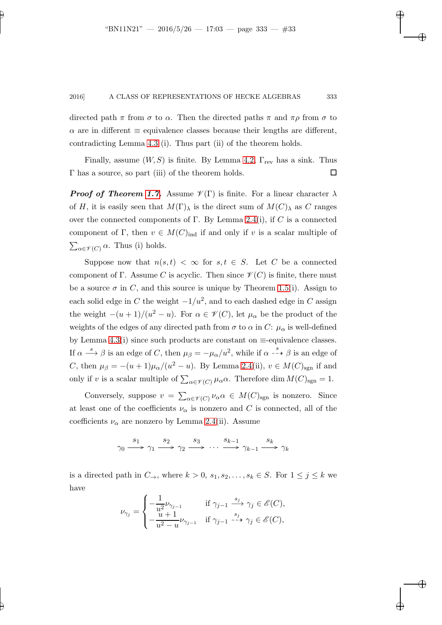directed path  $\pi$  from  $\sigma$  to  $\alpha$ . Then the directed paths  $\pi$  and  $\pi \rho$  from  $\sigma$  to  $\alpha$  are in different  $\equiv$  equivalence classes because their lengths are different, contradicting Lemma [4.3](#page-29-0) (i). Thus part (ii) of the theorem holds.

Finally, assume  $(W, S)$  is finite. By Lemma [4.2,](#page-28-0)  $\Gamma_{\text{rev}}$  has a sink. Thus  $\Gamma$  has a source, so part (iii) of the theorem holds.  $\Box$ 

**Proof of Theorem [1.7.](#page-6-0)** Assume  $\mathscr{V}(\Gamma)$  is finite. For a linear character  $\lambda$ of H, it is easily seen that  $M(\Gamma)$ <sub>λ</sub> is the direct sum of  $M(C)$ <sub>λ</sub> as C ranges over the connected components of Γ. By Lemma [2.4\(](#page-9-0)i), if C is a connected component of Γ, then  $v \in M(C)_{\text{ind}}$  if and only if v is a scalar multiple of  $\sum_{\alpha \in \mathscr{V}(C)} \alpha$ . Thus (i) holds.

Suppose now that  $n(s,t) < \infty$  for  $s, t \in S$ . Let C be a connected component of Γ. Assume C is acyclic. Then since  $\mathscr{V}(C)$  is finite, there must be a source  $\sigma$  in C, and this source is unique by Theorem [1.5\(](#page-5-3)i). Assign to each solid edge in C the weight  $-1/u^2$ , and to each dashed edge in C assign the weight  $-(u+1)/(u^2-u)$ . For  $\alpha \in \mathscr{V}(C)$ , let  $\mu_\alpha$  be the product of the weights of the edges of any directed path from  $\sigma$  to  $\alpha$  in C:  $\mu_{\alpha}$  is well-defined by Lemma [4.3\(](#page-29-0)i) since such products are constant on  $\equiv$ -equivalence classes. If  $\alpha \stackrel{s}{\longrightarrow} \beta$  is an edge of C, then  $\mu_{\beta} = -\mu_{\alpha}/u^2$ , while if  $\alpha \stackrel{s}{\dashrightarrow} \beta$  is an edge of C, then  $\mu_{\beta} = -(u+1)\mu_{\alpha}/(u^2-u)$ . By Lemma [2.4\(](#page-9-0)ii),  $v \in M(C)_{\text{sgn}}$  if and only if v is a scalar multiple of  $\sum_{\alpha \in \mathscr{V}(C)} \mu_{\alpha} \alpha$ . Therefore dim  $M(C)_{\text{sgn}} = 1$ .

Conversely, suppose  $v = \sum_{\alpha \in \mathscr{V}(C)} \nu_{\alpha} \alpha \in M(C)_{\text{sgn}}$  is nonzero. Since at least one of the coefficients  $\nu_{\alpha}$  is nonzero and C is connected, all of the coefficients  $\nu_{\alpha}$  are nonzero by Lemma [2.4\(](#page-9-0)ii). Assume

$$
\gamma_0 \xrightarrow{s_1} \gamma_1 \xrightarrow{s_2} \gamma_2 \xrightarrow{s_3} \cdots \xrightarrow{s_{k-1}} \gamma_{k-1} \xrightarrow{s_k} \gamma_k
$$

is a directed path in  $C_{\rightarrow}$ , where  $k > 0$ ,  $s_1, s_2, \ldots, s_k \in S$ . For  $1 \leq j \leq k$  we have

$$
\nu_{\gamma_j} = \begin{cases} -\frac{1}{u^2} \nu_{\gamma_{j-1}} & \text{if } \gamma_{j-1} \xrightarrow{s_j} \gamma_j \in \mathscr{E}(C), \\ -\frac{u+1}{u^2-u} \nu_{\gamma_{j-1}} & \text{if } \gamma_{j-1} \xrightarrow{-\rightarrow} \gamma_j \in \mathscr{E}(C), \end{cases}
$$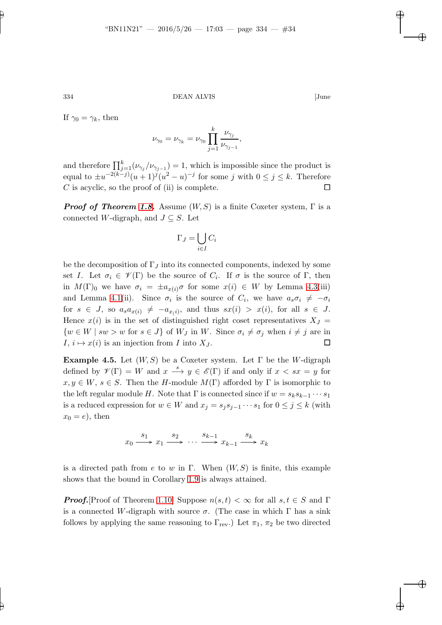If  $\gamma_0 = \gamma_k$ , then

$$
\nu_{\gamma_0} = \nu_{\gamma_k} = \nu_{\gamma_0} \prod_{j=1}^k \frac{\nu_{\gamma_j}}{\nu_{\gamma_{j-1}}},
$$

and therefore  $\prod_{j=1}^{k} (\nu_{\gamma_j}/\nu_{\gamma_{j-1}}) = 1$ , which is impossible since the product is equal to  $\pm u^{-2(k-j)}(u+1)^j(u^2-u)^{-j}$  for some j with  $0 \leq j \leq k$ . Therefore C is acyclic, so the proof of (ii) is complete.  $\square$ 

**Proof of Theorem [1.8.](#page-6-2)** Assume  $(W, S)$  is a finite Coxeter system,  $\Gamma$  is a connected W-digraph, and  $J \subseteq S$ . Let

$$
\Gamma_J = \bigcup_{i \in I} C_i
$$

be the decomposition of  $\Gamma_J$  into its connected components, indexed by some set I. Let  $\sigma_i \in \mathscr{V}(\Gamma)$  be the source of  $C_i$ . If  $\sigma$  is the source of  $\Gamma$ , then in  $M(\Gamma)_0$  we have  $\sigma_i = \pm a_{x(i)}\sigma$  for some  $x(i) \in W$  by Lemma [4.3\(](#page-29-0)iii) and Lemma [4.1\(](#page-27-1)ii). Since  $\sigma_i$  is the source of  $C_i$ , we have  $a_s \sigma_i \neq -\sigma_i$ for  $s \in J$ , so  $a_s a_{x(i)} \neq -a_{x(i)}$ , and thus  $sx(i) > x(i)$ , for all  $s \in J$ . Hence  $x(i)$  is in the set of distinguished right coset representatives  $X_J =$  $\{w \in W \mid sw > w \text{ for } s \in J\}$  of  $W_J$  in W. Since  $\sigma_i \neq \sigma_j$  when  $i \neq j$  are in  $I, i \mapsto x(i)$  is an injection from I into  $X_J$ .

<span id="page-33-0"></span>**Example 4.5.** Let  $(W, S)$  be a Coxeter system. Let  $\Gamma$  be the W-digraph defined by  $\mathscr{V}(\Gamma) = W$  and  $x \stackrel{s}{\longrightarrow} y \in \mathscr{E}(\Gamma)$  if and only if  $x < sx = y$  for  $x, y \in W$ ,  $s \in S$ . Then the H-module  $M(\Gamma)$  afforded by  $\Gamma$  is isomorphic to the left regular module H. Note that  $\Gamma$  is connected since if  $w = s_k s_{k-1} \cdots s_1$ is a reduced expression for  $w \in W$  and  $x_j = s_j s_{j-1} \cdots s_1$  for  $0 \leq j \leq k$  (with  $x_0 = e$ , then

$$
x_0 \xrightarrow{s_1} x_1 \xrightarrow{s_2} \cdots \xrightarrow{s_{k-1}} x_{k-1} \xrightarrow{s_k} x_k
$$

is a directed path from e to w in Γ. When  $(W, S)$  is finite, this example shows that the bound in Corollary [1.9](#page-6-1) is always attained.

**Proof.**[Proof of Theorem [1.10\]](#page-6-3) Suppose  $n(s,t) < \infty$  for all  $s,t \in S$  and  $\Gamma$ is a connected W-digraph with source  $\sigma$ . (The case in which  $\Gamma$  has a sink follows by applying the same reasoning to  $\Gamma_{\text{rev}}$ .) Let  $\pi_1$ ,  $\pi_2$  be two directed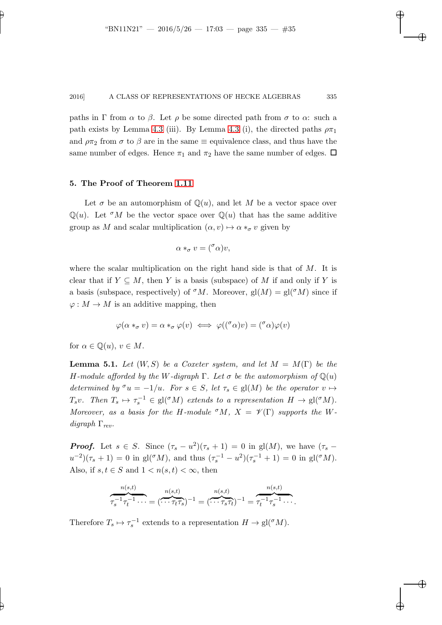paths in Γ from  $\alpha$  to  $\beta$ . Let  $\rho$  be some directed path from  $\sigma$  to  $\alpha$ : such a path exists by Lemma [4.3](#page-29-0) (iii). By Lemma 4.3 (i), the directed paths  $\rho \pi_1$ and  $\rho \pi_2$  from  $\sigma$  to  $\beta$  are in the same  $\equiv$  equivalence class, and thus have the same number of edges. Hence  $\pi_1$  and  $\pi_2$  have the same number of edges.  $\Box$ 

### 5. The Proof of Theorem [1.11](#page-6-4)

Let  $\sigma$  be an automorphism of  $\mathbb{Q}(u)$ , and let M be a vector space over  $\mathbb{Q}(u)$ . Let  $\sigma M$  be the vector space over  $\mathbb{Q}(u)$  that has the same additive group as M and scalar multiplication  $(\alpha, v) \mapsto \alpha *_{\sigma} v$  given by

$$
\alpha *_\sigma v = (^\sigma \alpha)v,
$$

where the scalar multiplication on the right hand side is that of  $M$ . It is clear that if  $Y \subseteq M$ , then Y is a basis (subspace) of M if and only if Y is a basis (subspace, respectively) of  $\sigma M$ . Moreover, gl $(M) = \text{gl}(\sigma M)$  since if  $\varphi: M \to M$  is an additive mapping, then

$$
\varphi(\alpha *_{\sigma} v) = \alpha *_{\sigma} \varphi(v) \iff \varphi((^{\sigma} \alpha)v) = (^{\sigma} \alpha)\varphi(v)
$$

<span id="page-34-0"></span>for  $\alpha \in \mathbb{Q}(u), v \in M$ .

**Lemma 5.1.** Let  $(W, S)$  be a Coxeter system, and let  $M = M(\Gamma)$  be the H-module afforded by the W-digraph  $\Gamma$ . Let  $\sigma$  be the automorphism of  $\mathbb{Q}(u)$ determined by  $\sigma u = -1/u$ . For  $s \in S$ , let  $\tau_s \in gl(M)$  be the operator  $v \mapsto$ T<sub>s</sub>v. Then  $T_s \mapsto \tau_s^{-1} \in \text{gl}(\sigma M)$  extends to a representation  $H \to \text{gl}(\sigma M)$ . Moreover, as a basis for the H-module  ${}^{\sigma}M$ ,  $X = \mathscr{V}(\Gamma)$  supports the Wdigraph  $\Gamma_{rev}$ .

**Proof.** Let  $s \in S$ . Since  $(\tau_s - u^2)(\tau_s + 1) = 0$  in gl(M), we have  $(\tau_s$  $u^{-2}$ )( $\tau_s + 1$ ) = 0 in gl( $^{\sigma}$ M), and thus  $(\tau_s^{-1} - u^2)(\tau_s^{-1} + 1) = 0$  in gl( $^{\sigma}$ M). Also, if  $s, t \in S$  and  $1 < n(s, t) < \infty$ , then

$$
\overbrace{\tau_s^{-1}\tau_t^{-1}\cdots}^{n(s,t)} = (\overbrace{\cdots \tau_t\tau_s}^{n(s,t)})^{-1} = (\overbrace{\cdots \tau_s\tau_t}^{n(s,t)})^{-1} = \overbrace{\tau_t^{-1}\tau_s^{-1}\cdots}^{n(s,t)}.
$$

Therefore  $T_s \mapsto \tau_s^{-1}$  extends to a representation  $H \to \text{gl}(\sigma M)$ .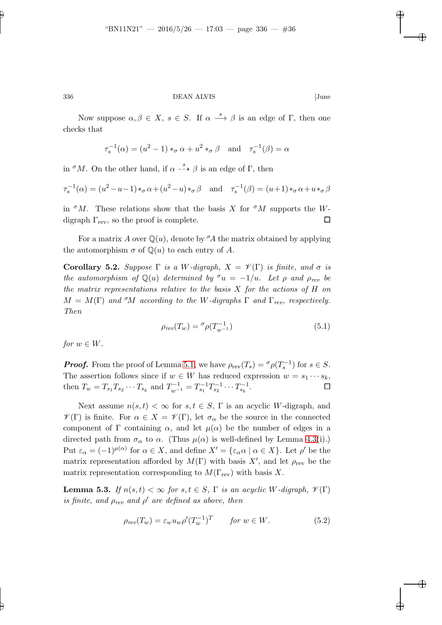Now suppose  $\alpha, \beta \in X$ ,  $s \in S$ . If  $\alpha \stackrel{s}{\longrightarrow} \beta$  is an edge of  $\Gamma$ , then one checks that

$$
\tau_s^{-1}(\alpha) = (u^2 - 1) *_{\sigma} \alpha + u^2 *_{\sigma} \beta \quad \text{and} \quad \tau_s^{-1}(\beta) = \alpha
$$

in  ${}^{\sigma}M$ . On the other hand, if  $\alpha \stackrel{s}{\dashrightarrow} \beta$  is an edge of  $\Gamma$ , then

$$
\tau_s^{-1}(\alpha) = (u^2 - u - 1) \ast_\sigma \alpha + (u^2 - u) \ast_\sigma \beta \quad \text{and} \quad \tau_s^{-1}(\beta) = (u+1) \ast_\sigma \alpha + u \ast_\sigma \beta
$$

in  $\sigma M$ . These relations show that the basis X for  $\sigma M$  supports the Wdigraph  $\Gamma_{\text{rev}}$ , so the proof is complete.

For a matrix A over  $\mathbb{Q}(u)$ , denote by  ${}^{\sigma}\!A$  the matrix obtained by applying the automorphism  $\sigma$  of  $\mathbb{Q}(u)$  to each entry of A.

**Corollary 5.2.** Suppose  $\Gamma$  is a W-digraph,  $X = \mathcal{V}(\Gamma)$  is finite, and  $\sigma$  is the automorphism of  $\mathbb{Q}(u)$  determined by  $\sigma u = -1/u$ . Let  $\rho$  and  $\rho_{rev}$  be the matrix representations relative to the basis  $X$  for the actions of  $H$  on  $M = M(\Gamma)$  and <sup>σ</sup>M according to the W-digraphs  $\Gamma$  and  $\Gamma_{rev}$ , respectively. Then

$$
\rho_{rev}(T_w) = \sigma \rho(T_{w^{-1}}^{-1}) \tag{5.1}
$$

<span id="page-35-1"></span>for  $w \in W$ .

**Proof.** From the proof of Lemma [5.1,](#page-34-0) we have  $\rho_{rev}(T_s) = \sigma \rho(T_s^{-1})$  for  $s \in S$ . The assertion follows since if  $w \in W$  has reduced expression  $w = s_1 \cdots s_k$ , then  $T_w = T_{s_1} T_{s_2} \cdots T_{s_k}$  and  $T_{w^{-1}}^{-1} = T_{s_1}^{-1} T_{s_2}^{-1} \cdots T_{s_k}^{-1}$ .

Next assume  $n(s,t) < \infty$  for  $s, t \in S$ ,  $\Gamma$  is an acyclic W-digraph, and  $\mathscr{V}(\Gamma)$  is finite. For  $\alpha \in X = \mathscr{V}(\Gamma)$ , let  $\sigma_{\alpha}$  be the source in the connected component of Γ containing  $\alpha$ , and let  $\mu(\alpha)$  be the number of edges in a directed path from  $\sigma_{\alpha}$  to  $\alpha$ . (Thus  $\mu(\alpha)$  is well-defined by Lemma [4.3\(](#page-29-0)i).) Put  $\varepsilon_{\alpha} = (-1)^{\mu(\alpha)}$  for  $\alpha \in X$ , and define  $X' = {\varepsilon_{\alpha}\alpha \mid \alpha \in X}$ . Let  $\rho'$  be the matrix representation afforded by  $M(\Gamma)$  with basis  $X'$ , and let  $\rho_{rev}$  be the matrix representation corresponding to  $M(\Gamma_{\text{rev}})$  with basis X.

**Lemma 5.3.** If  $n(s,t) < \infty$  for  $s,t \in S$ ,  $\Gamma$  is an acyclic W-digraph,  $\mathcal{V}(\Gamma)$ is finite, and  $\rho_{rev}$  and  $\rho'$  are defined as above, then

<span id="page-35-0"></span>
$$
\rho_{rev}(T_w) = \varepsilon_w u_w \rho'(T_w^{-1})^T \qquad \text{for } w \in W. \tag{5.2}
$$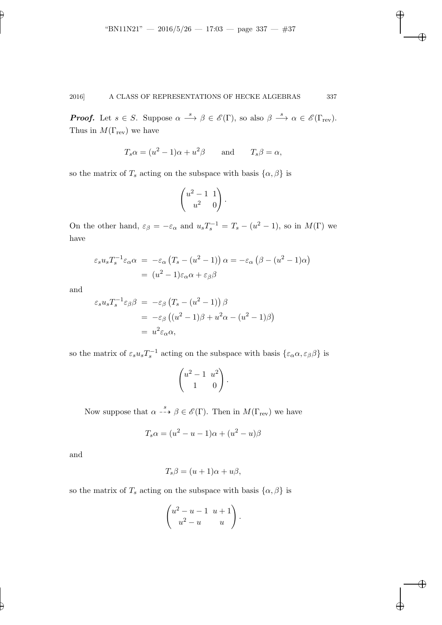**Proof.** Let  $s \in S$ . Suppose  $\alpha \stackrel{s}{\longrightarrow} \beta \in \mathscr{E}(\Gamma)$ , so also  $\beta \stackrel{s}{\longrightarrow} \alpha \in \mathscr{E}(\Gamma_{\text{rev}})$ . Thus in  $M(\Gamma_{\text{rev}})$  we have

$$
T_s \alpha = (u^2 - 1)\alpha + u^2 \beta
$$
 and  $T_s \beta = \alpha$ ,

so the matrix of  $T_s$  acting on the subspace with basis  $\{\alpha, \beta\}$  is

$$
\begin{pmatrix} u^2 - 1 & 1 \\ u^2 & 0 \end{pmatrix}.
$$

On the other hand,  $\varepsilon_{\beta} = -\varepsilon_{\alpha}$  and  $u_s T_s^{-1} = T_s - (u^2 - 1)$ , so in  $M(\Gamma)$  we have

$$
\varepsilon_s u_s T_s^{-1} \varepsilon_\alpha \alpha = -\varepsilon_\alpha (T_s - (u^2 - 1)) \alpha = -\varepsilon_\alpha (\beta - (u^2 - 1)\alpha)
$$

$$
= (u^2 - 1)\varepsilon_\alpha \alpha + \varepsilon_\beta \beta
$$

and

$$
\varepsilon_s u_s T_s^{-1} \varepsilon_\beta \beta = -\varepsilon_\beta (T_s - (u^2 - 1)) \beta
$$
  
=  $-\varepsilon_\beta ((u^2 - 1)\beta + u^2 \alpha - (u^2 - 1)\beta)$   
=  $u^2 \varepsilon_\alpha \alpha$ ,

so the matrix of  $\varepsilon_s u_s T_s^{-1}$  acting on the subspace with basis  $\{\varepsilon_\alpha \alpha, \varepsilon_\beta \beta\}$  is

$$
\begin{pmatrix} u^2 - 1 & u^2 \\ 1 & 0 \end{pmatrix}.
$$

Now suppose that  $\alpha \stackrel{s}{\dashrightarrow} \beta \in \mathscr{E}(\Gamma)$ . Then in  $M(\Gamma_{\text{rev}})$  we have

$$
T_s \alpha = (u^2 - u - 1)\alpha + (u^2 - u)\beta
$$

and

$$
T_s\beta = (u+1)\alpha + u\beta,
$$

so the matrix of  $T_s$  acting on the subspace with basis  $\{\alpha, \beta\}$  is

$$
\begin{pmatrix} u^2 - u - 1 & u + 1 \ u^2 - u & u \end{pmatrix}.
$$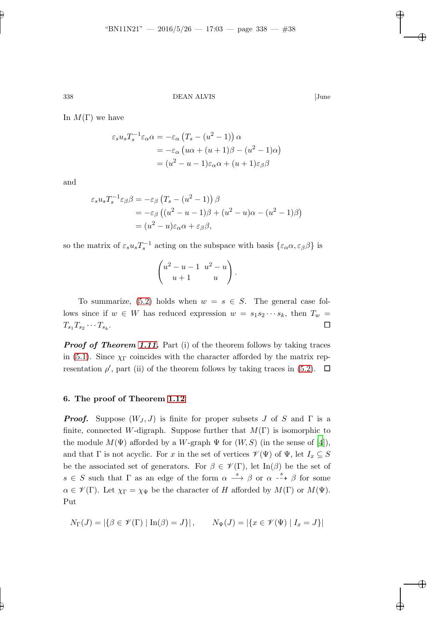In  $M(\Gamma)$  we have

$$
\varepsilon_s u_s T_s^{-1} \varepsilon_\alpha \alpha = -\varepsilon_\alpha \left( T_s - (u^2 - 1) \right) \alpha
$$
  
= 
$$
-\varepsilon_\alpha \left( u\alpha + (u+1)\beta - (u^2 - 1)\alpha \right)
$$
  
= 
$$
(u^2 - u - 1)\varepsilon_\alpha \alpha + (u+1)\varepsilon_\beta \beta
$$

and

$$
\varepsilon_s u_s T_s^{-1} \varepsilon_\beta \beta = -\varepsilon_\beta \left( T_s - (u^2 - 1) \right) \beta
$$
  
=  $-\varepsilon_\beta \left( (u^2 - u - 1)\beta + (u^2 - u)\alpha - (u^2 - 1)\beta \right)$   
=  $(u^2 - u)\varepsilon_\alpha \alpha + \varepsilon_\beta \beta$ ,

so the matrix of  $\varepsilon_s u_s T_s^{-1}$  acting on the subspace with basis  $\{\varepsilon_\alpha \alpha, \varepsilon_\beta \beta\}$  is

$$
\begin{pmatrix} u^2 - u - 1 & u^2 - u \\ u + 1 & u \end{pmatrix}.
$$

To summarize, [\(5.2\)](#page-35-0) holds when  $w = s \in S$ . The general case follows since if  $w \in W$  has reduced expression  $w = s_1 s_2 \cdots s_k$ , then  $T_w$  =  $T_{s_1}T_{s_2}\cdots T_{s_k}$ . In the contract of the contract of the contract of the contract of the contract of the contract of the contract of

**Proof of Theorem [1.11.](#page-6-4)** Part (i) of the theorem follows by taking traces in [\(5.1\)](#page-35-1). Since  $\chi_{\Gamma}$  coincides with the character afforded by the matrix representation  $\rho'$ , part (ii) of the theorem follows by taking traces in [\(5.2\)](#page-35-0).  $\Box$ 

### 6. The proof of Theorem [1.12](#page-7-0)

**Proof.** Suppose  $(W_J, J)$  is finite for proper subsets J of S and  $\Gamma$  is a finite, connected W-digraph. Suppose further that  $M(\Gamma)$  is isomorphic to the module  $M(\Psi)$  afforded by a W-graph  $\Psi$  for  $(W, S)$  (in the sense of [\[4](#page-41-2)]), and that  $\Gamma$  is not acyclic. For x in the set of vertices  $\mathscr{V}(\Psi)$  of  $\Psi$ , let  $I_x \subseteq S$ be the associated set of generators. For  $\beta \in \mathscr{V}(\Gamma)$ , let  $\text{In}(\beta)$  be the set of  $s \in S$  such that  $\Gamma$  as an edge of the form  $\alpha \stackrel{s}{\longrightarrow} \beta$  or  $\alpha \stackrel{s}{\dashrightarrow} \beta$  for some  $\alpha \in \mathscr{V}(\Gamma)$ . Let  $\chi_{\Gamma} = \chi_{\Psi}$  be the character of H afforded by  $M(\Gamma)$  or  $M(\Psi)$ . Put

$$
N_{\Gamma}(J) = |\{\beta \in \mathscr{V}(\Gamma) \mid \text{In}(\beta) = J\}|, \qquad N_{\Psi}(J) = |\{x \in \mathscr{V}(\Psi) \mid I_x = J\}|
$$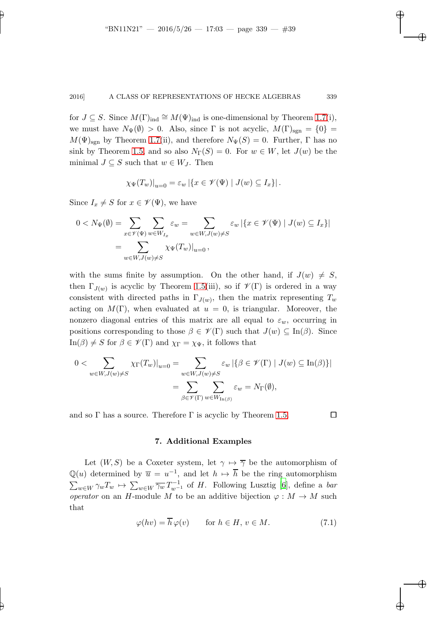for  $J \subseteq S$ . Since  $M(\Gamma)_{ind} \cong M(\Psi)_{ind}$  is one-dimensional by Theorem [1.7\(](#page-6-0)i), we must have  $N_{\Psi}(\emptyset) > 0$ . Also, since  $\Gamma$  is not acyclic,  $M(\Gamma)_{\text{sgn}} = \{0\}$  $M(\Psi)_{\text{sgn}}$  by Theorem [1.7\(](#page-6-0)ii), and therefore  $N_{\Psi}(S) = 0$ . Further,  $\Gamma$  has no sink by Theorem [1.5,](#page-5-3) and so also  $N_{\Gamma}(S) = 0$ . For  $w \in W$ , let  $J(w)$  be the minimal  $J \subseteq S$  such that  $w \in W_J$ . Then

$$
\chi_{\Psi}(T_w)|_{u=0} = \varepsilon_w \left| \{ x \in \mathcal{V}(\Psi) \mid J(w) \subseteq I_x \} \right|.
$$

Since  $I_x \neq S$  for  $x \in \mathscr{V}(\Psi)$ , we have

$$
0 < N_{\Psi}(\emptyset) = \sum_{x \in \mathscr{V}(\Psi)} \sum_{w \in W_{I_x}} \varepsilon_w = \sum_{w \in W, J(w) \neq S} \varepsilon_w \left| \{ x \in \mathscr{V}(\Psi) \mid J(w) \subseteq I_x \} \right|
$$
\n
$$
= \sum_{w \in W, J(w) \neq S} \chi_{\Psi}(T_w)|_{u=0},
$$

with the sums finite by assumption. On the other hand, if  $J(w) \neq S$ , then  $\Gamma_{J(w)}$  is acyclic by Theorem [1.5\(](#page-5-3)iii), so if  $\mathscr{V}(\Gamma)$  is ordered in a way consistent with directed paths in  $\Gamma_{J(w)}$ , then the matrix representing  $T_w$ acting on  $M(\Gamma)$ , when evaluated at  $u = 0$ , is triangular. Moreover, the nonzero diagonal entries of this matrix are all equal to  $\varepsilon_w$ , occurring in positions corresponding to those  $\beta \in \mathscr{V}(\Gamma)$  such that  $J(w) \subseteq \text{In}(\beta)$ . Since In( $\beta$ )  $\neq$  S for  $\beta \in \mathscr{V}(\Gamma)$  and  $\chi_{\Gamma} = \chi_{\Psi}$ , it follows that

$$
0 < \sum_{w \in W, J(w) \neq S} \chi_{\Gamma}(T_w)|_{u=0} = \sum_{w \in W, J(w) \neq S} \varepsilon_w \left| \{ \beta \in \mathcal{V}(\Gamma) \mid J(w) \subseteq \text{In}(\beta) \} \right|
$$
\n
$$
= \sum_{\beta \in \mathcal{V}(\Gamma)} \sum_{w \in W_{\text{In}(\beta)}} \varepsilon_w = N_{\Gamma}(\emptyset),
$$

and so  $\Gamma$  has a source. Therefore  $\Gamma$  is acyclic by Theorem [1.5.](#page-5-3)

# 7. Additional Examples

Let  $(W, S)$  be a Coxeter system, let  $\gamma \mapsto \overline{\gamma}$  be the automorphism of  $\mathbb{Q}(u)$  determined by  $\overline{u} = u^{-1}$ , and let  $h \mapsto \overline{h}$  be the ring automorphism  $\sum_{w\in W}\gamma_wT_w\mapsto\sum_{w\in W}\overline{\gamma_w}T_{w^{-1}}^{-1}$  of H. Following Lusztig [\[6](#page-41-1)], define a bar operator on an H-module M to be an additive bijection  $\varphi : M \to M$  such that

$$
\varphi(hv) = h\,\varphi(v) \qquad \text{for } h \in H, \, v \in M. \tag{7.1}
$$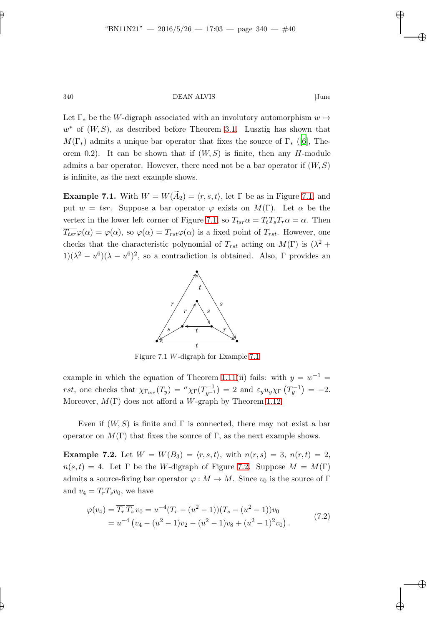Let  $\Gamma_*$  be the W-digraph associated with an involutory automorphism  $w \mapsto$  $w^*$  of  $(W, S)$ , as described before Theorem [3.1.](#page-24-0) Lusztig has shown that  $M(\Gamma_{\ast})$  admits a unique bar operator that fixes the source of  $\Gamma_{\ast}$  ([\[6\]](#page-41-1), Theorem 0.2). It can be shown that if  $(W, S)$  is finite, then any H-module admits a bar operator. However, there need not be a bar operator if  $(W, S)$ is infinite, as the next example shows.

<span id="page-39-0"></span>**Example 7.1.** With  $W = W(\widetilde{A}_2) = \langle r, s, t \rangle$ , let Γ be as in Figure [7.1,](#page-39-1) and put  $w = tsr$ . Suppose a bar operator  $\varphi$  exists on  $M(\Gamma)$ . Let  $\alpha$  be the vertex in the lower left corner of Figure [7.1,](#page-39-1) so  $T_{tsr} \alpha = T_t T_s T_r \alpha = \alpha$ . Then  $\overline{T_{tsr}}\varphi(\alpha) = \varphi(\alpha)$ , so  $\varphi(\alpha) = T_{rst}\varphi(\alpha)$  is a fixed point of  $T_{rst}$ . However, one checks that the characteristic polynomial of  $T_{rst}$  acting on  $M(\Gamma)$  is  $(\lambda^2 +$  $1/(\lambda^2 - u^6)(\lambda - u^6)^2$ , so a contradiction is obtained. Also,  $\Gamma$  provides an



<span id="page-39-1"></span>Figure 7.1 W-digraph for Example [7.1](#page-39-0)

example in which the equation of Theorem [1.11\(](#page-6-4)ii) fails: with  $y = w^{-1} =$ rst, one checks that  $\chi_{\Gamma_{\text{rev}}}(T_y) = \sigma_{\chi_{\Gamma}}(T_{y^{-1}}^{-1}) = 2$  and  $\varepsilon_y u_y \chi_{\Gamma}(T_y^{-1}) = -2$ . Moreover,  $M(\Gamma)$  does not afford a W-graph by Theorem [1.12.](#page-7-0)

<span id="page-39-2"></span>Even if  $(W, S)$  is finite and  $\Gamma$  is connected, there may not exist a bar operator on  $M(\Gamma)$  that fixes the source of  $\Gamma$ , as the next example shows.

**Example 7.2.** Let  $W = W(B_3) = \langle r, s, t \rangle$ , with  $n(r, s) = 3$ ,  $n(r, t) = 2$ ,  $n(s,t) = 4$ . Let  $\Gamma$  be the W-digraph of Figure [7.2.](#page-40-1) Suppose  $M = M(\Gamma)$ admits a source-fixing bar operator  $\varphi : M \to M$ . Since  $v_0$  is the source of Γ and  $v_4 = T_rT_s v_0$ , we have

<span id="page-39-3"></span>
$$
\varphi(v_4) = \overline{T_r} \, \overline{T_s} \, v_0 = u^{-4} (T_r - (u^2 - 1)) (T_s - (u^2 - 1)) v_0
$$
  
=  $u^{-4} (v_4 - (u^2 - 1) v_2 - (u^2 - 1) v_8 + (u^2 - 1)^2 v_0).$  (7.2)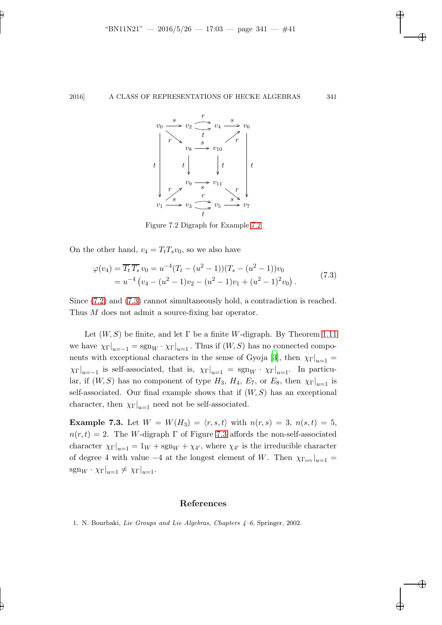

<span id="page-40-2"></span><span id="page-40-1"></span>Figure 7.2 Digraph for Example [7.2](#page-39-2)

On the other hand,  $v_4 = T_tT_s v_0$ , so we also have

$$
\varphi(v_4) = \overline{T_t} \, \overline{T_s} \, v_0 = u^{-4} (T_t - (u^2 - 1)) (T_s - (u^2 - 1)) v_0
$$
  
=  $u^{-4} (v_4 - (u^2 - 1)v_2 - (u^2 - 1)v_1 + (u^2 - 1)^2 v_0).$  (7.3)

Since [\(7.2\)](#page-39-3) and [\(7.3\)](#page-40-2) cannot simultaneously hold, a contradiction is reached. Thus M does not admit a source-fixing bar operator.

Let  $(W, S)$  be finite, and let  $\Gamma$  be a finite W-digraph. By Theorem [1.11](#page-6-4) we have  $\chi_{\Gamma}|_{u=-1} = \text{sgn}_W \cdot \chi_{\Gamma}|_{u=1}$ . Thus if  $(W, S)$  has no connected compo-nents with exceptional characters in the sense of Gyoja [\[3](#page-41-3)], then  $\chi_{\Gamma}|_{u=1}$  =  $\chi_{\Gamma}|_{u=-1}$  is self-associated, that is,  $\chi_{\Gamma}|_{u=1} = \text{sgn}_W \cdot \chi_{\Gamma}|_{u=1}$ . In particular, if  $(W, S)$  has no component of type  $H_3$ ,  $H_4$ ,  $E_7$ , or  $E_8$ , then  $\chi_{\Gamma}|_{u=1}$  is self-associated. Our final example shows that if  $(W, S)$  has an exceptional character, then  $\chi_{\Gamma}|_{u=1}$  need not be self-associated.

**Example 7.3.** Let  $W = W(H_3) = \langle r, s, t \rangle$  with  $n(r, s) = 3$ ,  $n(s, t) = 5$ ,  $n(r, t) = 2$ . The W-digraph  $\Gamma$  of Figure [7.3](#page-41-7) affords the non-self-associated character  $\chi_{\Gamma}|_{u=1} = 1_W + \text{sgn}_W + \chi_{4'}$ , where  $\chi_{4'}$  is the irreducible character of degree 4 with value −4 at the longest element of W. Then  $\chi_{\Gamma_{\text{rev}}}\vert_{u=1}$  =  $sgn_W \cdot \chi_{\Gamma}|_{u=1} \neq \chi_{\Gamma}|_{u=1}.$ 

## References

<span id="page-40-0"></span>1. N. Bourbaki, Lie Groups and Lie Algebras, Chapters 4–6, Springer, 2002.